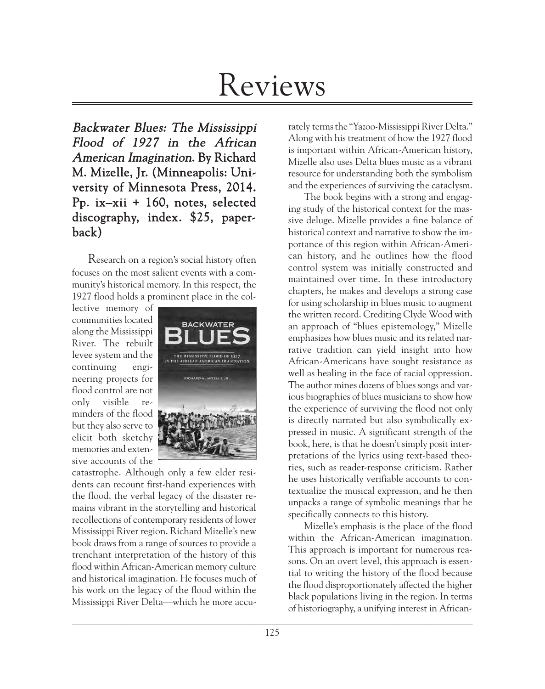# Reviews

Backwater Blues: The Mississippi Flood of 1927 in the African American Imagination. By Richard M. Mizelle, Jr. (Minneapolis: University of Minnesota Press, 2014. Pp. ix–xii + 160, notes, selected discography, index. \$25, paperback)

Research on a region's social history often focuses on the most salient events with a community's historical memory. In this respect, the 1927 flood holds a prominent place in the col-

lective memory of communities located along the Mississippi River. The rebuilt levee system and the continuing engineering projects for flood control are not only visible reminders of the flood but they also serve to elicit both sketchy memories and extensive accounts of the



catastrophe. Although only a few elder residents can recount first-hand experiences with the flood, the verbal legacy of the disaster remains vibrant in the storytelling and historical recollections of contemporary residents of lower Mississippi River region. Richard Mizelle's new book draws from a range of sources to provide a trenchant interpretation of the history of this flood within African-American memory culture and historical imagination. He focuses much of his work on the legacy of the flood within the Mississippi River Delta—which he more accu-

rately terms the "Yazoo-Mississippi River Delta." Along with his treatment of how the 1927 flood is important within African-American history, Mizelle also uses Delta blues music as a vibrant resource for understanding both the symbolism and the experiences of surviving the cataclysm.

The book begins with a strong and engaging study of the historical context for the massive deluge. Mizelle provides a fine balance of historical context and narrative to show the importance of this region within African-American history, and he outlines how the flood control system was initially constructed and maintained over time. In these introductory chapters, he makes and develops a strong case for using scholarship in blues music to augment the written record. Crediting Clyde Wood with an approach of "blues epistemology," Mizelle emphasizes how blues music and its related narrative tradition can yield insight into how African-Americans have sought resistance as well as healing in the face of racial oppression. The author mines dozens of blues songs and various biographies of blues musicians to show how the experience of surviving the flood not only is directly narrated but also symbolically expressed in music. A significant strength of the book, here, is that he doesn't simply posit interpretations of the lyrics using text-based theories, such as reader-response criticism. Rather he uses historically verifiable accounts to contextualize the musical expression, and he then unpacks a range of symbolic meanings that he specifically connects to this history.

Mizelle's emphasis is the place of the flood within the African-American imagination. This approach is important for numerous reasons. On an overt level, this approach is essential to writing the history of the flood because the flood disproportionately affected the higher black populations living in the region. In terms of historiography, a unifying interest in African-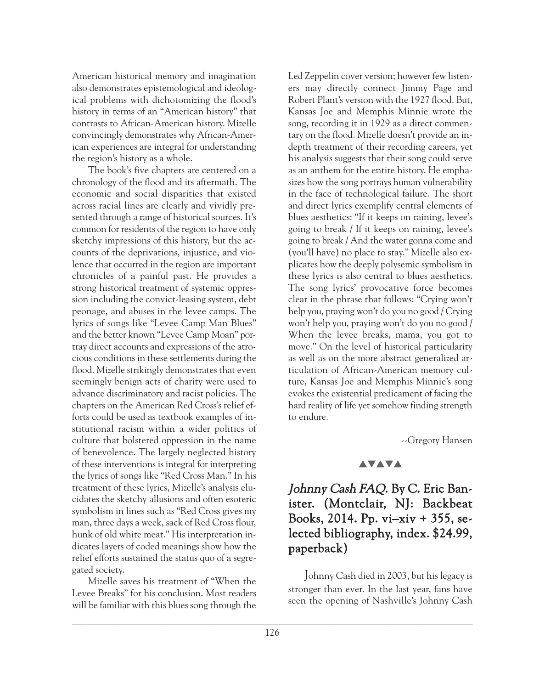American historical memory and imagination also demonstrates epistemological and ideological problems with dichotomizing the flood's history in terms of an "American history" that contrasts to African-American history. Mizelle convincingly demonstrates why African-American experiences are integral for understanding the region's history as a whole.

The book's five chapters are centered on a chronology of the flood and its aftermath. The economic and social disparities that existed across racial lines are clearly and vividly presented through a range of historical sources. It's common for residents of the region to have only sketchy impressions of this history, but the accounts of the deprivations, injustice, and violence that occurred in the region are important chronicles of a painful past. He provides a strong historical treatment of systemic oppression including the convict-leasing system, debt peonage, and abuses in the levee camps. The lyrics of songs like "Levee Camp Man Blues" and the better known "Levee Camp Moan" portray direct accounts and expressions of the atrocious conditions in these settlements during the flood. Mizelle strikingly demonstrates that even seemingly benign acts of charity were used to advance discriminatory and racist policies. The chapters on the American Red Cross's relief efforts could be used as textbook examples of institutional racism within a wider politics of culture that bolstered oppression in the name of benevolence. The largely neglected history of these interventions is integral for interpreting the lyrics of songs like "Red Cross Man." In his treatment of these lyrics, Mizelle's analysis elucidates the sketchy allusions and often esoteric symbolism in lines such as "Red Cross gives my man, three days a week, sack of Red Cross flour, hunk of old white meat." His interpretation indicates layers of coded meanings show how the relief efforts sustained the status quo of a segregated society.

Mizelle saves his treatment of "When the Levee Breaks" for his conclusion. Most readers will be familiar with this blues song through the Led Zeppelin cover version; however few listeners may directly connect Jimmy Page and Robert Plant's version with the 1927 flood. But, Kansas Joe and Memphis Minnie wrote the song, recording it in 1929 as a direct commentary on the flood. Mizelle doesn't provide an indepth treatment of their recording careers, yet his analysis suggests that their song could serve as an anthem for the entire history. He emphasizes how the song portrays human vulnerability in the face of technological failure. The short and direct lyrics exemplify central elements of blues aesthetics: "If it keeps on raining, levee's going to break / If it keeps on raining, levee's going to break / And the water gonna come and (you'll have) no place to stay." Mizelle also explicates how the deeply polysemic symbolism in these lyrics is also central to blues aesthetics. The song lyrics' provocative force becomes clear in the phrase that follows: "Crying won't help you, praying won't do you no good / Crying won't help you, praying won't do you no good / When the levee breaks, mama, you got to move." On the level of historical particularity as well as on the more abstract generalized articulation of African-American memory culture, Kansas Joe and Memphis Minnie's song evokes the existential predicament of facing the hard reality of life yet somehow finding strength to endure.

--Gregory Hansen

## **AVAVA**

# Johnny Cash FAQ. By C. Eric Banister. (Montclair, NJ: Backbeat Books, 2014. Pp. vi–xiv + 355, selected bibliography, index. \$24.99, paperback)

Johnny Cash died in 2003, but his legacy is stronger than ever. In the last year, fans have seen the opening of Nashville's Johnny Cash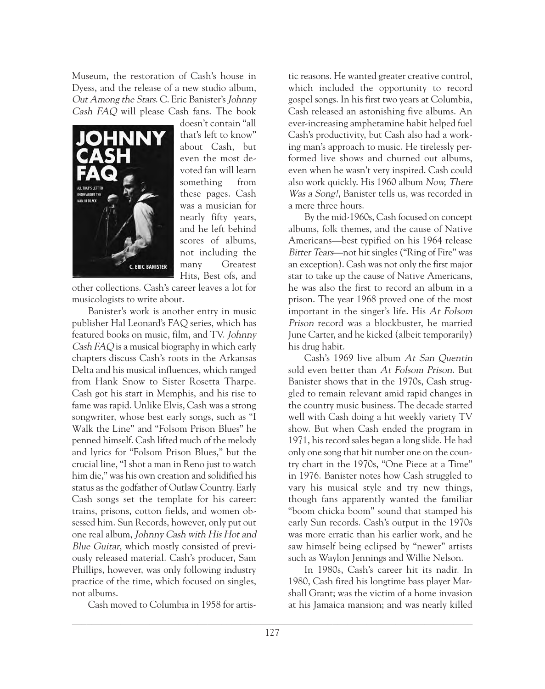Museum, the restoration of Cash's house in Dyess, and the release of a new studio album, Out Among the Stars. C. Eric Banister's Johnny Cash FAQ will please Cash fans. The book



doesn't contain "all that's left to know" about Cash, but even the most devoted fan will learn something from these pages. Cash was a musician for nearly fifty years, and he left behind scores of albums, not including the many Greatest Hits, Best ofs, and

other collections. Cash's career leaves a lot for musicologists to write about.

Banister's work is another entry in music publisher Hal Leonard's FAQ series, which has featured books on music, film, and TV. Johnny Cash FAQ is a musical biography in which early chapters discuss Cash's roots in the Arkansas Delta and his musical influences, which ranged from Hank Snow to Sister Rosetta Tharpe. Cash got his start in Memphis, and his rise to fame was rapid. Unlike Elvis, Cash was a strong songwriter, whose best early songs, such as "I Walk the Line" and "Folsom Prison Blues" he penned himself. Cash lifted much of the melody and lyrics for "Folsom Prison Blues," but the crucial line, "I shot a man in Reno just to watch him die," was his own creation and solidified his status as the godfather of Outlaw Country. Early Cash songs set the template for his career: trains, prisons, cotton fields, and women obsessed him. Sun Records, however, only put out one real album, Johnny Cash with His Hot and Blue Guitar, which mostly consisted of previously released material. Cash's producer, Sam Phillips, however, was only following industry practice of the time, which focused on singles, not albums.

Cash moved to Columbia in 1958 for artis-

tic reasons. He wanted greater creative control, which included the opportunity to record gospel songs. In his first two years at Columbia, Cash released an astonishing five albums. An ever-increasing amphetamine habit helped fuel Cash's productivity, but Cash also had a working man's approach to music. He tirelessly performed live shows and churned out albums, even when he wasn't very inspired. Cash could also work quickly. His 1960 album Now, There Was a Song!, Banister tells us, was recorded in a mere three hours.

By the mid-1960s, Cash focused on concept albums, folk themes, and the cause of Native Americans—best typified on his 1964 release Bitter Tears—not hit singles ("Ring of Fire" was an exception). Cash was not only the first major star to take up the cause of Native Americans, he was also the first to record an album in a prison. The year 1968 proved one of the most important in the singer's life. His At Folsom Prison record was a blockbuster, he married June Carter, and he kicked (albeit temporarily) his drug habit.

Cash's 1969 live album At San Quentin sold even better than At Folsom Prison. But Banister shows that in the 1970s, Cash struggled to remain relevant amid rapid changes in the country music business. The decade started well with Cash doing a hit weekly variety TV show. But when Cash ended the program in 1971, his record sales began a long slide. He had only one song that hit number one on the country chart in the 1970s, "One Piece at a Time" in 1976. Banister notes how Cash struggled to vary his musical style and try new things, though fans apparently wanted the familiar "boom chicka boom" sound that stamped his early Sun records. Cash's output in the 1970s was more erratic than his earlier work, and he saw himself being eclipsed by "newer" artists such as Waylon Jennings and Willie Nelson.

In 1980s, Cash's career hit its nadir. In 1980, Cash fired his longtime bass player Marshall Grant; was the victim of a home invasion at his Jamaica mansion; and was nearly killed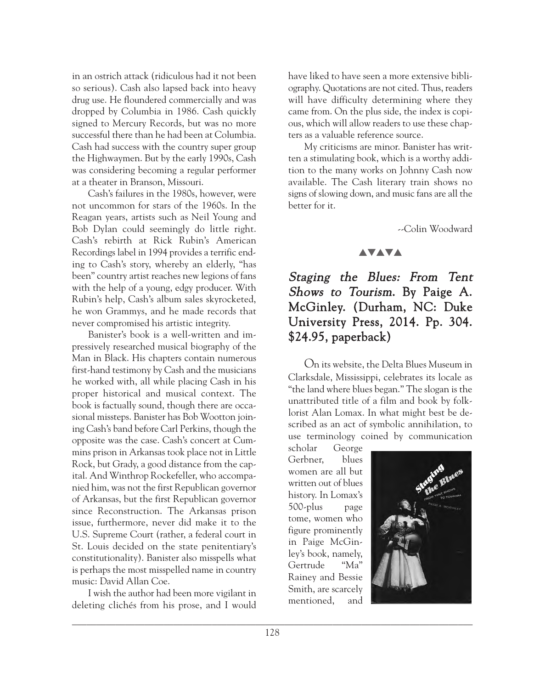in an ostrich attack (ridiculous had it not been so serious). Cash also lapsed back into heavy drug use. He floundered commercially and was dropped by Columbia in 1986. Cash quickly signed to Mercury Records, but was no more successful there than he had been at Columbia. Cash had success with the country super group the Highwaymen. But by the early 1990s, Cash was considering becoming a regular performer at a theater in Branson, Missouri.

Cash's failures in the 1980s, however, were not uncommon for stars of the 1960s. In the Reagan years, artists such as Neil Young and Bob Dylan could seemingly do little right. Cash's rebirth at Rick Rubin's American Recordings label in 1994 provides a terrific ending to Cash's story, whereby an elderly, "has been" country artist reaches new legions of fans with the help of a young, edgy producer. With Rubin's help, Cash's album sales skyrocketed, he won Grammys, and he made records that never compromised his artistic integrity.

Banister's book is a well-written and impressively researched musical biography of the Man in Black. His chapters contain numerous first-hand testimony by Cash and the musicians he worked with, all while placing Cash in his proper historical and musical context. The book is factually sound, though there are occasional missteps. Banister has Bob Wootton joining Cash's band before Carl Perkins, though the opposite was the case. Cash's concert at Cummins prison in Arkansas took place not in Little Rock, but Grady, a good distance from the capital. And Winthrop Rockefeller, who accompanied him, was not the first Republican governor of Arkansas, but the first Republican governor since Reconstruction. The Arkansas prison issue, furthermore, never did make it to the U.S. Supreme Court (rather, a federal court in St. Louis decided on the state penitentiary's constitutionality). Banister also misspells what is perhaps the most misspelled name in country music: David Allan Coe.

I wish the author had been more vigilant in deleting clichés from his prose, and I would have liked to have seen a more extensive bibliography. Quotations are not cited. Thus, readers will have difficulty determining where they came from. On the plus side, the index is copious, which will allow readers to use these chapters as a valuable reference source.

My criticisms are minor. Banister has written a stimulating book, which is a worthy addition to the many works on Johnny Cash now available. The Cash literary train shows no signs of slowing down, and music fans are all the better for it.

--Colin Woodward

#### **AVAVA**

# Staging the Blues: From Tent Shows to Tourism. By Paige A. McGinley. (Durham, NC: Duke University Press, 2014. Pp. 304. \$24.95, paperback)

On its website, the Delta Blues Museum in Clarksdale, Mississippi, celebrates its locale as "the land where blues began." The slogan is the unattributed title of a film and book by folklorist Alan Lomax. In what might best be described as an act of symbolic annihilation, to use terminology coined by communication

scholar George Gerbner, blues women are all but written out of blues history. In Lomax's 500-plus page tome, women who figure prominently in Paige McGinley's book, namely, Gertrude "Ma" Rainey and Bessie Smith, are scarcely mentioned, and

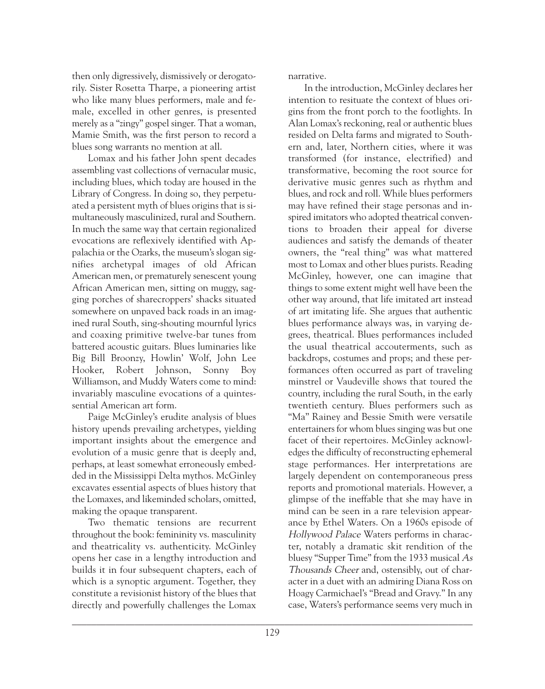then only digressively, dismissively or derogatorily. Sister Rosetta Tharpe, a pioneering artist who like many blues performers, male and female, excelled in other genres, is presented merely as a "zingy" gospel singer. That a woman, Mamie Smith, was the first person to record a blues song warrants no mention at all.

Lomax and his father John spent decades assembling vast collections of vernacular music, including blues, which today are housed in the Library of Congress. In doing so, they perpetuated a persistent myth of blues origins that is simultaneously masculinized, rural and Southern. In much the same way that certain regionalized evocations are reflexively identified with Appalachia or the Ozarks, the museum's slogan signifies archetypal images of old African American men, or prematurely senescent young African American men, sitting on muggy, sagging porches of sharecroppers' shacks situated somewhere on unpaved back roads in an imagined rural South, sing-shouting mournful lyrics and coaxing primitive twelve-bar tunes from battered acoustic guitars. Blues luminaries like Big Bill Broonzy, Howlin' Wolf, John Lee Hooker, Robert Johnson, Sonny Boy Williamson, and Muddy Waters come to mind: invariably masculine evocations of a quintessential American art form.

Paige McGinley's erudite analysis of blues history upends prevailing archetypes, yielding important insights about the emergence and evolution of a music genre that is deeply and, perhaps, at least somewhat erroneously embedded in the Mississippi Delta mythos. McGinley excavates essential aspects of blues history that the Lomaxes, and likeminded scholars, omitted, making the opaque transparent.

Two thematic tensions are recurrent throughout the book: femininity vs. masculinity and theatricality vs. authenticity. McGinley opens her case in a lengthy introduction and builds it in four subsequent chapters, each of which is a synoptic argument. Together, they constitute a revisionist history of the blues that directly and powerfully challenges the Lomax

narrative.

In the introduction, McGinley declares her intention to resituate the context of blues origins from the front porch to the footlights. In Alan Lomax's reckoning, real or authentic blues resided on Delta farms and migrated to Southern and, later, Northern cities, where it was transformed (for instance, electrified) and transformative, becoming the root source for derivative music genres such as rhythm and blues, and rock and roll. While blues performers may have refined their stage personas and inspired imitators who adopted theatrical conventions to broaden their appeal for diverse audiences and satisfy the demands of theater owners, the "real thing" was what mattered most to Lomax and other blues purists. Reading McGinley, however, one can imagine that things to some extent might well have been the other way around, that life imitated art instead of art imitating life. She argues that authentic blues performance always was, in varying degrees, theatrical. Blues performances included the usual theatrical accouterments, such as backdrops, costumes and props; and these performances often occurred as part of traveling minstrel or Vaudeville shows that toured the country, including the rural South, in the early twentieth century. Blues performers such as "Ma" Rainey and Bessie Smith were versatile entertainers for whom blues singing was but one facet of their repertoires. McGinley acknowledges the difficulty of reconstructing ephemeral stage performances. Her interpretations are largely dependent on contemporaneous press reports and promotional materials. However, a glimpse of the ineffable that she may have in mind can be seen in a rare television appearance by Ethel Waters. On a 1960s episode of Hollywood Palace Waters performs in character, notably a dramatic skit rendition of the bluesy "Supper Time" from the 1933 musical As Thousands Cheer and, ostensibly, out of character in a duet with an admiring Diana Ross on Hoagy Carmichael's "Bread and Gravy." In any case, Waters's performance seems very much in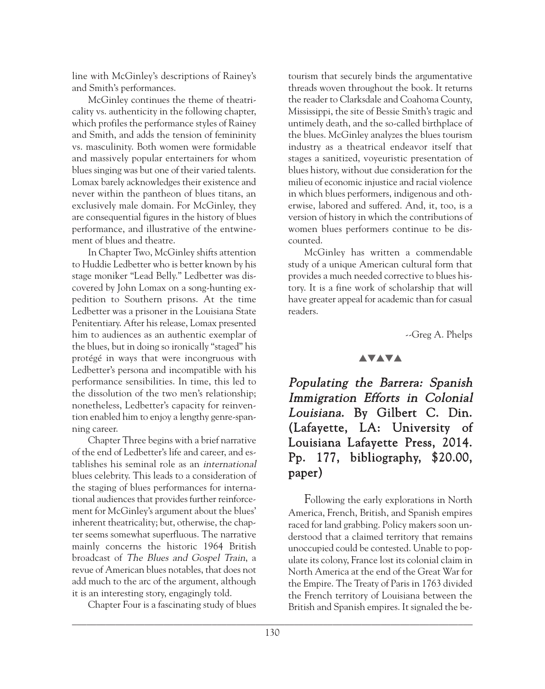line with McGinley's descriptions of Rainey's and Smith's performances.

McGinley continues the theme of theatricality vs. authenticity in the following chapter, which profiles the performance styles of Rainey and Smith, and adds the tension of femininity vs. masculinity. Both women were formidable and massively popular entertainers for whom blues singing was but one of their varied talents. Lomax barely acknowledges their existence and never within the pantheon of blues titans, an exclusively male domain. For McGinley, they are consequential figures in the history of blues performance, and illustrative of the entwinement of blues and theatre.

In Chapter Two, McGinley shifts attention to Huddie Ledbetter who is better known by his stage moniker "Lead Belly." Ledbetter was discovered by John Lomax on a song-hunting expedition to Southern prisons. At the time Ledbetter was a prisoner in the Louisiana State Penitentiary. After his release, Lomax presented him to audiences as an authentic exemplar of the blues, but in doing so ironically "staged" his protégé in ways that were incongruous with Ledbetter's persona and incompatible with his performance sensibilities. In time, this led to the dissolution of the two men's relationship; nonetheless, Ledbetter's capacity for reinvention enabled him to enjoy a lengthy genre-spanning career.

Chapter Three begins with a brief narrative of the end of Ledbetter's life and career, and establishes his seminal role as an international blues celebrity. This leads to a consideration of the staging of blues performances for international audiences that provides further reinforcement for McGinley's argument about the blues' inherent theatricality; but, otherwise, the chapter seems somewhat superfluous. The narrative mainly concerns the historic 1964 British broadcast of The Blues and Gospel Train, a revue of American blues notables, that does not add much to the arc of the argument, although it is an interesting story, engagingly told.

Chapter Four is a fascinating study of blues

tourism that securely binds the argumentative threads woven throughout the book. It returns the reader to Clarksdale and Coahoma County, Mississippi, the site of Bessie Smith's tragic and untimely death, and the so-called birthplace of the blues. McGinley analyzes the blues tourism industry as a theatrical endeavor itself that stages a sanitized, voyeuristic presentation of blues history, without due consideration for the milieu of economic injustice and racial violence in which blues performers, indigenous and otherwise, labored and suffered. And, it, too, is a version of history in which the contributions of women blues performers continue to be discounted.

McGinley has written a commendable study of a unique American cultural form that provides a much needed corrective to blues history. It is a fine work of scholarship that will have greater appeal for academic than for casual readers.

--Greg A. Phelps

#### **AVAVA**

Populating the Barrera: Spanish Immigration Efforts in Colonial Louisiana. By Gilbert C. Din. (Lafayette, LA: University of Louisiana Lafayette Press, 2014. Pp. 177, bibliography, \$20.00, paper)

Following the early explorations in North America, French, British, and Spanish empires raced for land grabbing. Policy makers soon understood that a claimed territory that remains unoccupied could be contested. Unable to populate its colony, France lost its colonial claim in North America at the end of the Great War for the Empire. The Treaty of Paris in 1763 divided the French territory of Louisiana between the British and Spanish empires. It signaled the be-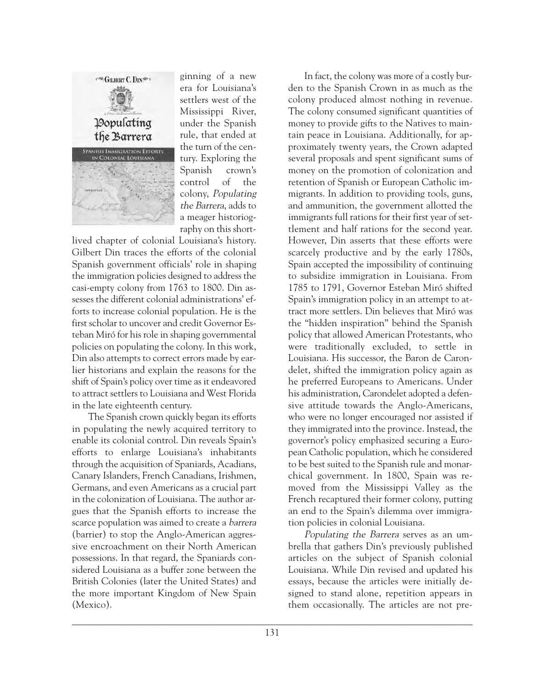

ginning of a new era for Louisiana's settlers west of the Mississippi River, under the Spanish rule, that ended at the turn of the century. Exploring the Spanish crown's control of the colony, Populating the Barrera, adds to a meager historiography on this short-

lived chapter of colonial Louisiana's history. Gilbert Din traces the efforts of the colonial Spanish government officials' role in shaping the immigration policies designed to address the casi-empty colony from 1763 to 1800. Din assesses the different colonial administrations' efforts to increase colonial population. He is the first scholar to uncover and credit Governor Esteban Miró for his role in shaping governmental policies on populating the colony. In this work, Din also attempts to correct errors made by earlier historians and explain the reasons for the shift of Spain's policy over time as it endeavored to attract settlers to Louisiana and West Florida in the late eighteenth century.

The Spanish crown quickly began its efforts in populating the newly acquired territory to enable its colonial control. Din reveals Spain's efforts to enlarge Louisiana's inhabitants through the acquisition of Spaniards, Acadians, Canary Islanders, French Canadians, Irishmen, Germans, and even Americans as a crucial part in the colonization of Louisiana. The author argues that the Spanish efforts to increase the scarce population was aimed to create a barrera (barrier) to stop the Anglo-American aggressive encroachment on their North American possessions. In that regard, the Spaniards considered Louisiana as a buffer zone between the British Colonies (later the United States) and the more important Kingdom of New Spain (Mexico).

In fact, the colony was more of a costly burden to the Spanish Crown in as much as the colony produced almost nothing in revenue. The colony consumed significant quantities of money to provide gifts to the Natives to maintain peace in Louisiana. Additionally, for approximately twenty years, the Crown adapted several proposals and spent significant sums of money on the promotion of colonization and retention of Spanish or European Catholic immigrants. In addition to providing tools, guns, and ammunition, the government allotted the immigrants full rations for their first year of settlement and half rations for the second year. However, Din asserts that these efforts were scarcely productive and by the early 1780s, Spain accepted the impossibility of continuing to subsidize immigration in Louisiana. From 1785 to 1791, Governor Esteban Miró shifted Spain's immigration policy in an attempt to attract more settlers. Din believes that Miró was the "hidden inspiration" behind the Spanish policy that allowed American Protestants, who were traditionally excluded, to settle in Louisiana. His successor, the Baron de Carondelet, shifted the immigration policy again as he preferred Europeans to Americans. Under his administration, Carondelet adopted a defensive attitude towards the Anglo-Americans, who were no longer encouraged nor assisted if they immigrated into the province. Instead, the governor's policy emphasized securing a European Catholic population, which he considered to be best suited to the Spanish rule and monarchical government. In 1800, Spain was removed from the Mississippi Valley as the French recaptured their former colony, putting an end to the Spain's dilemma over immigration policies in colonial Louisiana.

Populating the Barrera serves as an umbrella that gathers Din's previously published articles on the subject of Spanish colonial Louisiana. While Din revised and updated his essays, because the articles were initially designed to stand alone, repetition appears in them occasionally. The articles are not pre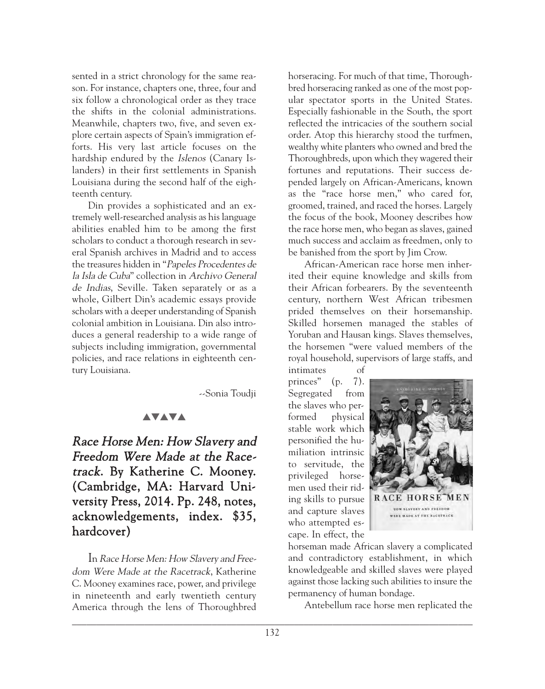sented in a strict chronology for the same reason. For instance, chapters one, three, four and six follow a chronological order as they trace the shifts in the colonial administrations. Meanwhile, chapters two, five, and seven explore certain aspects of Spain's immigration efforts. His very last article focuses on the hardship endured by the Islenos (Canary Islanders) in their first settlements in Spanish Louisiana during the second half of the eighteenth century.

Din provides a sophisticated and an extremely well-researched analysis as his language abilities enabled him to be among the first scholars to conduct a thorough research in several Spanish archives in Madrid and to access the treasures hidden in "Papeles Procedentes de la Isla de Cuba" collection in Archivo General de Indias, Seville. Taken separately or as a whole, Gilbert Din's academic essays provide scholars with a deeper understanding of Spanish colonial ambition in Louisiana. Din also introduces a general readership to a wide range of subjects including immigration, governmental policies, and race relations in eighteenth century Louisiana.

--Sonia Toudji

## **AVAVA**

# Race Horse Men: How Slavery and Freedom Were Made at the Racetrack. By Katherine C. Mooney. (Cambridge, MA: Harvard University Press, 2014. Pp. 248, notes, acknowledgements, index. \$35, hardcover)

In Race Horse Men: How Slavery and Freedom Were Made at the Racetrack, Katherine C. Mooney examines race, power, and privilege in nineteenth and early twentieth century America through the lens of Thoroughbred

horseracing. For much of that time, Thoroughbred horseracing ranked as one of the most popular spectator sports in the United States. Especially fashionable in the South, the sport reflected the intricacies of the southern social order. Atop this hierarchy stood the turfmen, wealthy white planters who owned and bred the Thoroughbreds, upon which they wagered their fortunes and reputations. Their success depended largely on African-Americans, known as the "race horse men," who cared for, groomed, trained, and raced the horses. Largely the focus of the book, Mooney describes how the race horse men, who began as slaves, gained much success and acclaim as freedmen, only to be banished from the sport by Jim Crow.

African-American race horse men inherited their equine knowledge and skills from their African forbearers. By the seventeenth century, northern West African tribesmen prided themselves on their horsemanship. Skilled horsemen managed the stables of Yoruban and Hausan kings. Slaves themselves, the horsemen "were valued members of the royal household, supervisors of large staffs, and intimates of

princes" (p. 7). Segregated from the slaves who performed physical stable work which personified the humiliation intrinsic to servitude, the privileged horsemen used their riding skills to pursue and capture slaves who attempted escape. In effect, the



ERE MADE AT THE RACETRACE

horseman made African slavery a complicated and contradictory establishment, in which knowledgeable and skilled slaves were played against those lacking such abilities to insure the permanency of human bondage.

Antebellum race horse men replicated the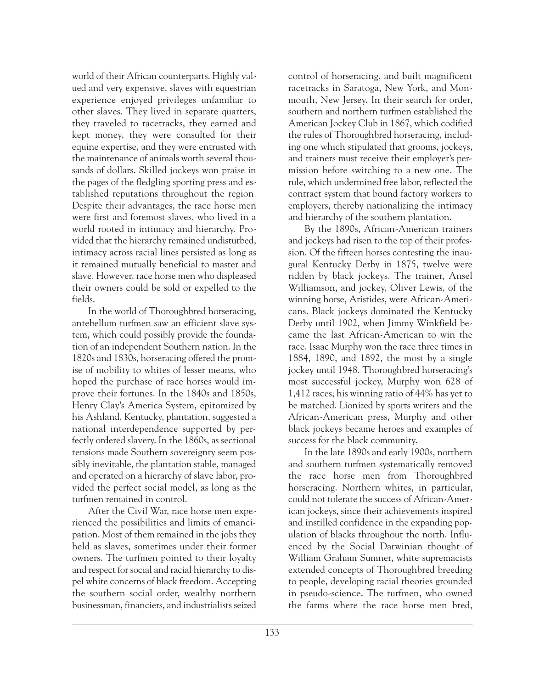world of their African counterparts. Highly valued and very expensive, slaves with equestrian experience enjoyed privileges unfamiliar to other slaves. They lived in separate quarters, they traveled to racetracks, they earned and kept money, they were consulted for their equine expertise, and they were entrusted with the maintenance of animals worth several thousands of dollars. Skilled jockeys won praise in the pages of the fledgling sporting press and established reputations throughout the region. Despite their advantages, the race horse men were first and foremost slaves, who lived in a world rooted in intimacy and hierarchy. Provided that the hierarchy remained undisturbed, intimacy across racial lines persisted as long as it remained mutually beneficial to master and slave. However, race horse men who displeased their owners could be sold or expelled to the fields.

In the world of Thoroughbred horseracing, antebellum turfmen saw an efficient slave system, which could possibly provide the foundation of an independent Southern nation. In the 1820s and 1830s, horseracing offered the promise of mobility to whites of lesser means, who hoped the purchase of race horses would improve their fortunes. In the 1840s and 1850s, Henry Clay's America System, epitomized by his Ashland, Kentucky, plantation, suggested a national interdependence supported by perfectly ordered slavery. In the 1860s, as sectional tensions made Southern sovereignty seem possibly inevitable, the plantation stable, managed and operated on a hierarchy of slave labor, provided the perfect social model, as long as the turfmen remained in control.

After the Civil War, race horse men experienced the possibilities and limits of emancipation. Most of them remained in the jobs they held as slaves, sometimes under their former owners. The turfmen pointed to their loyalty and respect for social and racial hierarchy to dispel white concerns of black freedom. Accepting the southern social order, wealthy northern businessman, financiers, and industrialists seized

control of horseracing, and built magnificent racetracks in Saratoga, New York, and Monmouth, New Jersey. In their search for order, southern and northern turfmen established the American Jockey Club in 1867, which codified the rules of Thoroughbred horseracing, including one which stipulated that grooms, jockeys, and trainers must receive their employer's permission before switching to a new one. The rule, which undermined free labor, reflected the contract system that bound factory workers to employers, thereby nationalizing the intimacy and hierarchy of the southern plantation.

By the 1890s, African-American trainers and jockeys had risen to the top of their profession. Of the fifteen horses contesting the inaugural Kentucky Derby in 1875, twelve were ridden by black jockeys. The trainer, Ansel Williamson, and jockey, Oliver Lewis, of the winning horse, Aristides, were African-Americans. Black jockeys dominated the Kentucky Derby until 1902, when Jimmy Winkfield became the last African-American to win the race. Isaac Murphy won the race three times in 1884, 1890, and 1892, the most by a single jockey until 1948. Thoroughbred horseracing's most successful jockey, Murphy won 628 of 1,412 races; his winning ratio of 44% has yet to be matched. Lionized by sports writers and the African-American press, Murphy and other black jockeys became heroes and examples of success for the black community.

In the late 1890s and early 1900s, northern and southern turfmen systematically removed the race horse men from Thoroughbred horseracing. Northern whites, in particular, could not tolerate the success of African-American jockeys, since their achievements inspired and instilled confidence in the expanding population of blacks throughout the north. Influenced by the Social Darwinian thought of William Graham Sumner, white supremacists extended concepts of Thoroughbred breeding to people, developing racial theories grounded in pseudo-science. The turfmen, who owned the farms where the race horse men bred,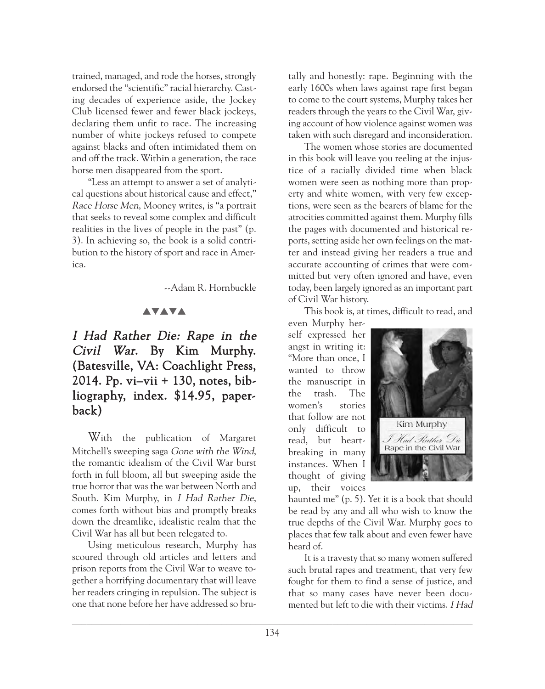trained, managed, and rode the horses, strongly endorsed the "scientific" racial hierarchy. Casting decades of experience aside, the Jockey Club licensed fewer and fewer black jockeys, declaring them unfit to race. The increasing number of white jockeys refused to compete against blacks and often intimidated them on and off the track. Within a generation, the race horse men disappeared from the sport.

"Less an attempt to answer a set of analytical questions about historical cause and effect," Race Horse Men, Mooney writes, is "a portrait that seeks to reveal some complex and difficult realities in the lives of people in the past" (p. 3). In achieving so, the book is a solid contribution to the history of sport and race in America.

--Adam R. Hornbuckle

## **AVAVA**

# I Had Rather Die: Rape in the Civil War. By Kim Murphy. (Batesville, VA: Coachlight Press, 2014. Pp. vi–vii + 130, notes, bibliography, index. \$14.95, paperback)

With the publication of Margaret Mitchell's sweeping saga Gone with the Wind, the romantic idealism of the Civil War burst forth in full bloom, all but sweeping aside the true horror that was the war between North and South. Kim Murphy, in I Had Rather Die, comes forth without bias and promptly breaks down the dreamlike, idealistic realm that the Civil War has all but been relegated to.

Using meticulous research, Murphy has scoured through old articles and letters and prison reports from the Civil War to weave together a horrifying documentary that will leave her readers cringing in repulsion. The subject is one that none before her have addressed so brutally and honestly: rape. Beginning with the early 1600s when laws against rape first began to come to the court systems, Murphy takes her readers through the years to the Civil War, giving account of how violence against women was taken with such disregard and inconsideration.

The women whose stories are documented in this book will leave you reeling at the injustice of a racially divided time when black women were seen as nothing more than property and white women, with very few exceptions, were seen as the bearers of blame for the atrocities committed against them. Murphy fills the pages with documented and historical reports, setting aside her own feelings on the matter and instead giving her readers a true and accurate accounting of crimes that were committed but very often ignored and have, even today, been largely ignored as an important part of Civil War history.

This book is, at times, difficult to read, and

even Murphy herself expressed her angst in writing it: "More than once, I wanted to throw the manuscript in the trash. The women's stories that follow are not only difficult to read, but heartbreaking in many instances. When I thought of giving up, their voices



haunted me" (p. 5). Yet it is a book that should be read by any and all who wish to know the true depths of the Civil War. Murphy goes to places that few talk about and even fewer have heard of.

It is a travesty that so many women suffered such brutal rapes and treatment, that very few fought for them to find a sense of justice, and that so many cases have never been documented but left to die with their victims. I Had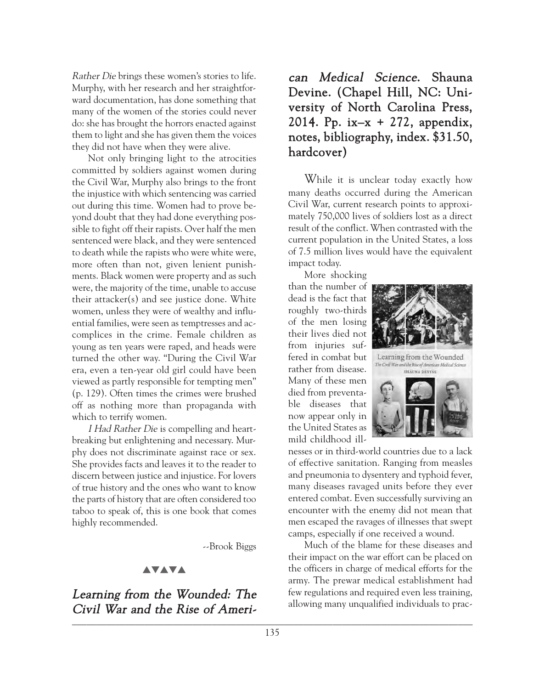Rather Die brings these women's stories to life. Murphy, with her research and her straightforward documentation, has done something that many of the women of the stories could never do: she has brought the horrors enacted against them to light and she has given them the voices they did not have when they were alive.

Not only bringing light to the atrocities committed by soldiers against women during the Civil War, Murphy also brings to the front the injustice with which sentencing was carried out during this time. Women had to prove beyond doubt that they had done everything possible to fight off their rapists. Over half the men sentenced were black, and they were sentenced to death while the rapists who were white were, more often than not, given lenient punishments. Black women were property and as such were, the majority of the time, unable to accuse their attacker(s) and see justice done. White women, unless they were of wealthy and influential families, were seen as temptresses and accomplices in the crime. Female children as young as ten years were raped, and heads were turned the other way. "During the Civil War era, even a ten-year old girl could have been viewed as partly responsible for tempting men" (p. 129). Often times the crimes were brushed off as nothing more than propaganda with which to terrify women.

I Had Rather Die is compelling and heartbreaking but enlightening and necessary. Murphy does not discriminate against race or sex. She provides facts and leaves it to the reader to discern between justice and injustice. For lovers of true history and the ones who want to know the parts of history that are often considered too taboo to speak of, this is one book that comes highly recommended.

--Brook Biggs

#### **AVAVA**

Learning from the Wounded: The Civil War and the Rise of Ameri-

## can Medical Science. Shauna Devine. (Chapel Hill, NC: University of North Carolina Press, 2014. Pp. ix–x + 272, appendix, notes, bibliography, index. \$31.50, hardcover)

While it is unclear today exactly how many deaths occurred during the American Civil War, current research points to approximately 750,000 lives of soldiers lost as a direct result of the conflict. When contrasted with the current population in the United States, a loss of 7.5 million lives would have the equivalent impact today.

More shocking than the number of dead is the fact that roughly two-thirds of the men losing their lives died not from injuries suffered in combat but rather from disease. Many of these men died from preventable diseases that now appear only in the United States as mild childhood ill-



Learning from the Wounded The Civil Wa l the Rise of Americ an Medical Scien SHAUNA DEVINE



nesses or in third-world countries due to a lack of effective sanitation. Ranging from measles and pneumonia to dysentery and typhoid fever, many diseases ravaged units before they ever entered combat. Even successfully surviving an encounter with the enemy did not mean that men escaped the ravages of illnesses that swept camps, especially if one received a wound.

Much of the blame for these diseases and their impact on the war effort can be placed on the officers in charge of medical efforts for the army. The prewar medical establishment had few regulations and required even less training, allowing many unqualified individuals to prac-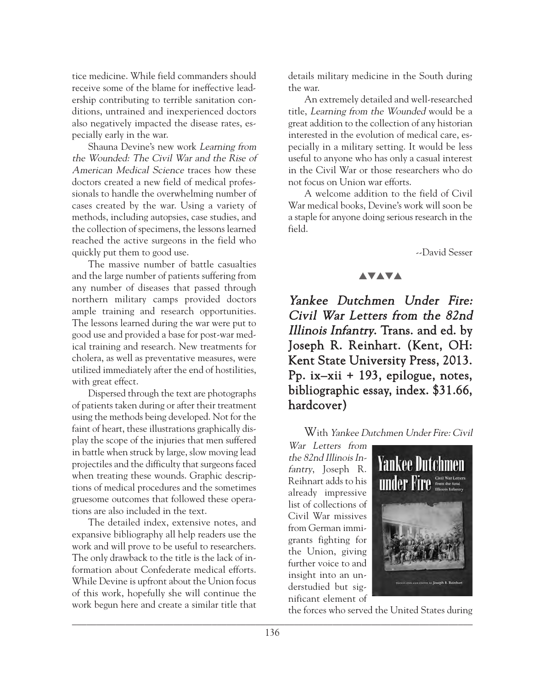tice medicine. While field commanders should receive some of the blame for ineffective leadership contributing to terrible sanitation conditions, untrained and inexperienced doctors also negatively impacted the disease rates, especially early in the war.

Shauna Devine's new work Learning from the Wounded: The Civil War and the Rise of American Medical Science traces how these doctors created a new field of medical professionals to handle the overwhelming number of cases created by the war. Using a variety of methods, including autopsies, case studies, and the collection of specimens, the lessons learned reached the active surgeons in the field who quickly put them to good use.

The massive number of battle casualties and the large number of patients suffering from any number of diseases that passed through northern military camps provided doctors ample training and research opportunities. The lessons learned during the war were put to good use and provided a base for post-war medical training and research. New treatments for cholera, as well as preventative measures, were utilized immediately after the end of hostilities, with great effect.

Dispersed through the text are photographs of patients taken during or after their treatment using the methods being developed. Not for the faint of heart, these illustrations graphically display the scope of the injuries that men suffered in battle when struck by large, slow moving lead projectiles and the difficulty that surgeons faced when treating these wounds. Graphic descriptions of medical procedures and the sometimes gruesome outcomes that followed these operations are also included in the text.

The detailed index, extensive notes, and expansive bibliography all help readers use the work and will prove to be useful to researchers. The only drawback to the title is the lack of information about Confederate medical efforts. While Devine is upfront about the Union focus of this work, hopefully she will continue the work begun here and create a similar title that

details military medicine in the South during the war.

An extremely detailed and well-researched title, Learning from the Wounded would be a great addition to the collection of any historian interested in the evolution of medical care, especially in a military setting. It would be less useful to anyone who has only a casual interest in the Civil War or those researchers who do not focus on Union war efforts.

A welcome addition to the field of Civil War medical books, Devine's work will soon be a staple for anyone doing serious research in the field.

--David Sesser

## **AVAVA**

Yankee Dutchmen Under Fire: Civil War Letters from the 82nd Illinois Infantry. Trans. and ed. by Joseph R. Reinhart. (Kent, OH: Kent State University Press, 2013. Pp. ix–xii + 193, epilogue, notes, bibliographic essay, index. \$31.66, hardcover)

With Yankee Dutchmen Under Fire: Civil

War Letters from the 82nd Illinois Infantry, Joseph R. Reihnart adds to his already impressive list of collections of Civil War missives from German immigrants fighting for the Union, giving further voice to and insight into an understudied but significant element of



the forces who served the United States during  $\overline{a}$  ,  $\overline{a}$  ,  $\overline{a}$  ,  $\overline{a}$  ,  $\overline{a}$  ,  $\overline{a}$  ,  $\overline{a}$  ,  $\overline{a}$  ,  $\overline{a}$  ,  $\overline{a}$  ,  $\overline{a}$  ,  $\overline{a}$  ,  $\overline{a}$  ,  $\overline{a}$  ,  $\overline{a}$  ,  $\overline{a}$  ,  $\overline{a}$  ,  $\overline{a}$  ,  $\overline{a}$  ,  $\overline{a}$  ,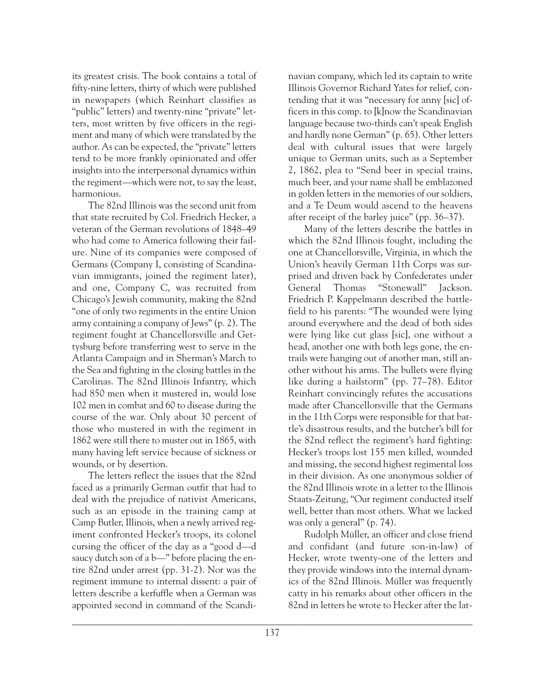its greatest crisis. The book contains a total of fifty-nine letters, thirty of which were published in newspapers (which Reinhart classifies as "public" letters) and twenty-nine "private" letters, most written by five officers in the regiment and many of which were translated by the author. As can be expected, the "private" letters tend to be more frankly opinionated and offer insights into the interpersonal dynamics within the regiment—which were not, to say the least, harmonious.

The 82nd Illinois was the second unit from that state recruited by Col. Friedrich Hecker, a veteran of the German revolutions of 1848–49 who had come to America following their failure. Nine of its companies were composed of Germans (Company I, consisting of Scandinavian immigrants, joined the regiment later), and one, Company C, was recruited from Chicago's Jewish community, making the 82nd "one of only two regiments in the entire Union army containing a company of Jews" (p. 2). The regiment fought at Chancellorsville and Gettysburg before transferring west to serve in the Atlanta Campaign and in Sherman's March to the Sea and fighting in the closing battles in the Carolinas. The 82nd Illinois Infantry, which had 850 men when it mustered in, would lose 102 men in combat and 60 to disease during the course of the war. Only about 30 percent of those who mustered in with the regiment in 1862 were still there to muster out in 1865, with many having left service because of sickness or wounds, or by desertion.

The letters reflect the issues that the 82nd faced as a primarily German outfit that had to deal with the prejudice of nativist Americans, such as an episode in the training camp at Camp Butler, Illinois, when a newly arrived regiment confronted Hecker's troops, its colonel cursing the officer of the day as a "good d—d saucy dutch son of a b—" before placing the entire 82nd under arrest (pp. 31-2). Nor was the regiment immune to internal dissent: a pair of letters describe a kerfuffle when a German was appointed second in command of the Scandinavian company, which led its captain to write Illinois Governor Richard Yates for relief, contending that it was "necessary for anny [sic] officers in this comp. to [k]now the Scandinavian language because two-thirds can't speak English and hardly none German" (p. 65). Other letters deal with cultural issues that were largely unique to German units, such as a September 2, 1862, plea to "Send beer in special trains, much beer, and your name shall be emblazoned in golden letters in the memories of our soldiers, and a Te Deum would ascend to the heavens after receipt of the barley juice" (pp. 36–37).

Many of the letters describe the battles in which the 82nd Illinois fought, including the one at Chancellorsville, Virginia, in which the Union's heavily German 11th Corps was surprised and driven back by Confederates under General Thomas "Stonewall" Jackson. Friedrich P. Kappelmann described the battlefield to his parents: "The wounded were lying around everywhere and the dead of both sides were lying like cut glass [sic], one without a head, another one with both legs gone, the entrails were hanging out of another man, still another without his arms. The bullets were flying like during a hailstorm" (pp. 77–78). Editor Reinhart convincingly refutes the accusations made after Chancellorsville that the Germans in the 11th Corps were responsible for that battle's disastrous results, and the butcher's bill for the 82nd reflect the regiment's hard fighting: Hecker's troops lost 155 men killed, wounded and missing, the second highest regimental loss in their division. As one anonymous soldier of the 82nd Illinois wrote in a letter to the Illinois Staats-Zeitung, "Our regiment conducted itself well, better than most others. What we lacked was only a general" (p. 74).

Rudolph Müller, an officer and close friend and confidant (and future son-in-law) of Hecker, wrote twenty-one of the letters and they provide windows into the internal dynamics of the 82nd Illinois. Müller was frequently catty in his remarks about other officers in the 82nd in letters he wrote to Hecker after the lat-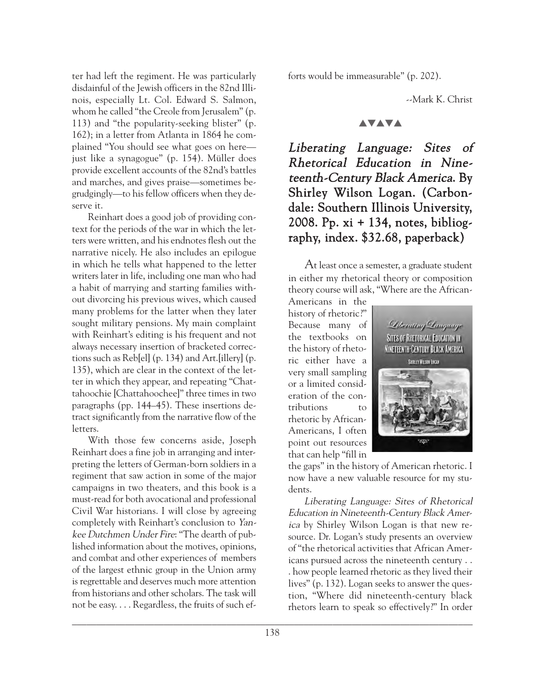ter had left the regiment. He was particularly disdainful of the Jewish officers in the 82nd Illinois, especially Lt. Col. Edward S. Salmon, whom he called "the Creole from Jerusalem" (p. 113) and "the popularity-seeking blister" (p. 162); in a letter from Atlanta in 1864 he complained "You should see what goes on here just like a synagogue" (p. 154). Müller does provide excellent accounts of the 82nd's battles and marches, and gives praise—sometimes begrudgingly—to his fellow officers when they deserve it.

Reinhart does a good job of providing context for the periods of the war in which the letters were written, and his endnotes flesh out the narrative nicely. He also includes an epilogue in which he tells what happened to the letter writers later in life, including one man who had a habit of marrying and starting families without divorcing his previous wives, which caused many problems for the latter when they later sought military pensions. My main complaint with Reinhart's editing is his frequent and not always necessary insertion of bracketed corrections such as Reb[el] (p. 134) and Art.[illery] (p. 135), which are clear in the context of the letter in which they appear, and repeating "Chattahoochie [Chattahoochee]" three times in two paragraphs (pp. 144–45). These insertions detract significantly from the narrative flow of the letters.

With those few concerns aside, Joseph Reinhart does a fine job in arranging and interpreting the letters of German-born soldiers in a regiment that saw action in some of the major campaigns in two theaters, and this book is a must-read for both avocational and professional Civil War historians. I will close by agreeing completely with Reinhart's conclusion to Yankee Dutchmen Under Fire: "The dearth of published information about the motives, opinions, and combat and other experiences of members of the largest ethnic group in the Union army is regrettable and deserves much more attention from historians and other scholars. The task will not be easy. . . . Regardless, the fruits of such efforts would be immeasurable" (p. 202).

--Mark K. Christ

#### **AVAVA**

Liberating Language: Sites of Rhetorical Education in Nineteenth-Century Black America. By Shirley Wilson Logan. (Carbondale: Southern Illinois University, 2008. Pp. xi + 134, notes, bibliography, index. \$32.68, paperback)

At least once a semester, a graduate student in either my rhetorical theory or composition theory course will ask, "Where are the African-

Americans in the history of rhetoric?" Because many of the textbooks on the history of rhetoric either have a very small sampling or a limited consideration of the contributions to rhetoric by African-Americans, I often point out resources that can help "fill in



the gaps" in the history of American rhetoric. I now have a new valuable resource for my students.

Liberating Language: Sites of Rhetorical Education in Nineteenth-Century Black America by Shirley Wilson Logan is that new resource. Dr. Logan's study presents an overview of "the rhetorical activities that African Americans pursued across the nineteenth century . . . how people learned rhetoric as they lived their lives" (p. 132). Logan seeks to answer the question, "Where did nineteenth-century black rhetors learn to speak so effectively?" In order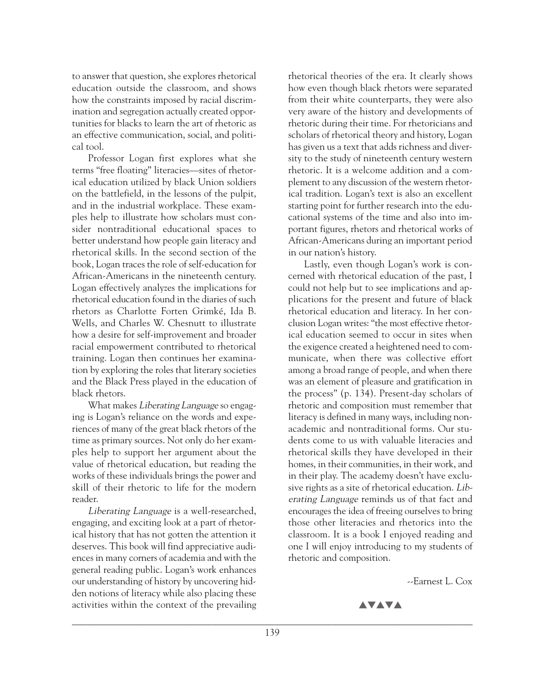to answer that question, she explores rhetorical education outside the classroom, and shows how the constraints imposed by racial discrimination and segregation actually created opportunities for blacks to learn the art of rhetoric as an effective communication, social, and political tool.

Professor Logan first explores what she terms "free floating" literacies—sites of rhetorical education utilized by black Union soldiers on the battlefield, in the lessons of the pulpit, and in the industrial workplace. These examples help to illustrate how scholars must consider nontraditional educational spaces to better understand how people gain literacy and rhetorical skills. In the second section of the book, Logan traces the role of self-education for African-Americans in the nineteenth century. Logan effectively analyzes the implications for rhetorical education found in the diaries of such rhetors as Charlotte Forten Grimké, Ida B. Wells, and Charles W. Chesnutt to illustrate how a desire for self-improvement and broader racial empowerment contributed to rhetorical training. Logan then continues her examination by exploring the roles that literary societies and the Black Press played in the education of black rhetors.

What makes *Liberating Language* so engaging is Logan's reliance on the words and experiences of many of the great black rhetors of the time as primary sources. Not only do her examples help to support her argument about the value of rhetorical education, but reading the works of these individuals brings the power and skill of their rhetoric to life for the modern reader.

Liberating Language is a well-researched, engaging, and exciting look at a part of rhetorical history that has not gotten the attention it deserves. This book will find appreciative audiences in many corners of academia and with the general reading public. Logan's work enhances our understanding of history by uncovering hidden notions of literacy while also placing these activities within the context of the prevailing

rhetorical theories of the era. It clearly shows how even though black rhetors were separated from their white counterparts, they were also very aware of the history and developments of rhetoric during their time. For rhetoricians and scholars of rhetorical theory and history, Logan has given us a text that adds richness and diversity to the study of nineteenth century western rhetoric. It is a welcome addition and a complement to any discussion of the western rhetorical tradition. Logan's text is also an excellent starting point for further research into the educational systems of the time and also into important figures, rhetors and rhetorical works of African-Americans during an important period in our nation's history.

Lastly, even though Logan's work is concerned with rhetorical education of the past, I could not help but to see implications and applications for the present and future of black rhetorical education and literacy. In her conclusion Logan writes: "the most effective rhetorical education seemed to occur in sites when the exigence created a heightened need to communicate, when there was collective effort among a broad range of people, and when there was an element of pleasure and gratification in the process" (p. 134). Present-day scholars of rhetoric and composition must remember that literacy is defined in many ways, including nonacademic and nontraditional forms. Our students come to us with valuable literacies and rhetorical skills they have developed in their homes, in their communities, in their work, and in their play. The academy doesn't have exclusive rights as a site of rhetorical education. Liberating Language reminds us of that fact and encourages the idea of freeing ourselves to bring those other literacies and rhetorics into the classroom. It is a book I enjoyed reading and one I will enjoy introducing to my students of rhetoric and composition.

--Earnest L. Cox

**AVAVA**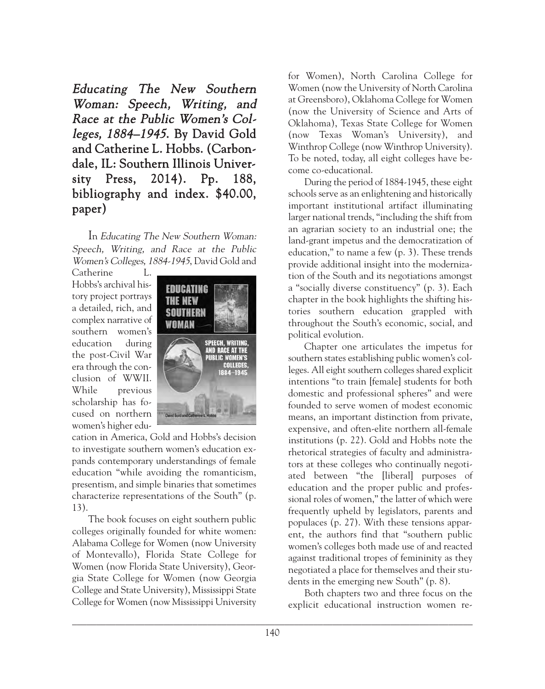Educating The New Southern Woman: Speech, Writing, and Race at the Public Women's Colleges, 1884–1945. By David Gold and Catherine L. Hobbs. (Carbondale, IL: Southern Illinois University Press, 2014). Pp. 188, bibliography and index. \$40.00, paper)

In Educating The New Southern Woman: Speech, Writing, and Race at the Public Women's Colleges, 1884-1945, David Gold and

Catherine L. Hobbs's archival history project portrays a detailed, rich, and complex narrative of southern women's education during the post-Civil War era through the conclusion of WWII. While previous scholarship has focused on northern women's higher edu-



cation in America, Gold and Hobbs's decision to investigate southern women's education expands contemporary understandings of female education "while avoiding the romanticism, presentism, and simple binaries that sometimes characterize representations of the South" (p. 13).

The book focuses on eight southern public colleges originally founded for white women: Alabama College for Women (now University of Montevallo), Florida State College for Women (now Florida State University), Georgia State College for Women (now Georgia College and State University), Mississippi State College for Women (now Mississippi University

for Women), North Carolina College for Women (now the University of North Carolina at Greensboro), Oklahoma College for Women (now the University of Science and Arts of Oklahoma), Texas State College for Women (now Texas Woman's University), and Winthrop College (now Winthrop University). To be noted, today, all eight colleges have become co-educational.

During the period of 1884-1945, these eight schools serve as an enlightening and historically important institutional artifact illuminating larger national trends, "including the shift from an agrarian society to an industrial one; the land-grant impetus and the democratization of education," to name a few (p. 3). These trends provide additional insight into the modernization of the South and its negotiations amongst a "socially diverse constituency" (p. 3). Each chapter in the book highlights the shifting histories southern education grappled with throughout the South's economic, social, and political evolution.

Chapter one articulates the impetus for southern states establishing public women's colleges. All eight southern colleges shared explicit intentions "to train [female] students for both domestic and professional spheres" and were founded to serve women of modest economic means, an important distinction from private, expensive, and often-elite northern all-female institutions (p. 22). Gold and Hobbs note the rhetorical strategies of faculty and administrators at these colleges who continually negotiated between "the [liberal] purposes of education and the proper public and professional roles of women," the latter of which were frequently upheld by legislators, parents and populaces (p. 27). With these tensions apparent, the authors find that "southern public women's colleges both made use of and reacted against traditional tropes of femininity as they negotiated a place for themselves and their students in the emerging new South" (p. 8).

Both chapters two and three focus on the explicit educational instruction women re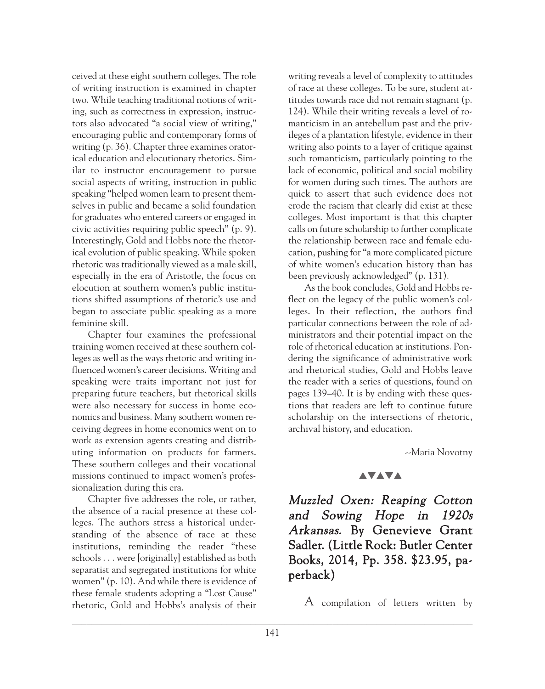ceived at these eight southern colleges. The role of writing instruction is examined in chapter two. While teaching traditional notions of writing, such as correctness in expression, instructors also advocated "a social view of writing," encouraging public and contemporary forms of writing (p. 36). Chapter three examines oratorical education and elocutionary rhetorics. Similar to instructor encouragement to pursue social aspects of writing, instruction in public speaking "helped women learn to present themselves in public and became a solid foundation for graduates who entered careers or engaged in civic activities requiring public speech" (p. 9). Interestingly, Gold and Hobbs note the rhetorical evolution of public speaking. While spoken rhetoric was traditionally viewed as a male skill, especially in the era of Aristotle, the focus on elocution at southern women's public institutions shifted assumptions of rhetoric's use and began to associate public speaking as a more feminine skill.

Chapter four examines the professional training women received at these southern colleges as well as the ways rhetoric and writing influenced women's career decisions. Writing and speaking were traits important not just for preparing future teachers, but rhetorical skills were also necessary for success in home economics and business. Many southern women receiving degrees in home economics went on to work as extension agents creating and distributing information on products for farmers. These southern colleges and their vocational missions continued to impact women's professionalization during this era.

Chapter five addresses the role, or rather, the absence of a racial presence at these colleges. The authors stress a historical understanding of the absence of race at these institutions, reminding the reader "these schools . . . were [originally] established as both separatist and segregated institutions for white women" (p. 10). And while there is evidence of these female students adopting a "Lost Cause" rhetoric, Gold and Hobbs's analysis of their

writing reveals a level of complexity to attitudes of race at these colleges. To be sure, student attitudes towards race did not remain stagnant (p. 124). While their writing reveals a level of romanticism in an antebellum past and the privileges of a plantation lifestyle, evidence in their writing also points to a layer of critique against such romanticism, particularly pointing to the lack of economic, political and social mobility for women during such times. The authors are quick to assert that such evidence does not erode the racism that clearly did exist at these colleges. Most important is that this chapter calls on future scholarship to further complicate the relationship between race and female education, pushing for "a more complicated picture of white women's education history than has been previously acknowledged" (p. 131).

As the book concludes, Gold and Hobbs reflect on the legacy of the public women's colleges. In their reflection, the authors find particular connections between the role of administrators and their potential impact on the role of rhetorical education at institutions. Pondering the significance of administrative work and rhetorical studies, Gold and Hobbs leave the reader with a series of questions, found on pages 139–40. It is by ending with these questions that readers are left to continue future scholarship on the intersections of rhetoric, archival history, and education.

--Maria Novotny

## **AVAVA**

Muzzled Oxen: Reaping Cotton and Sowing Hope in 1920s Arkansas. By Genevieve Grant Sadler. (Little Rock: Butler Center Books, 2014, Pp. 358. \$23.95, paperback)

A compilation of letters written by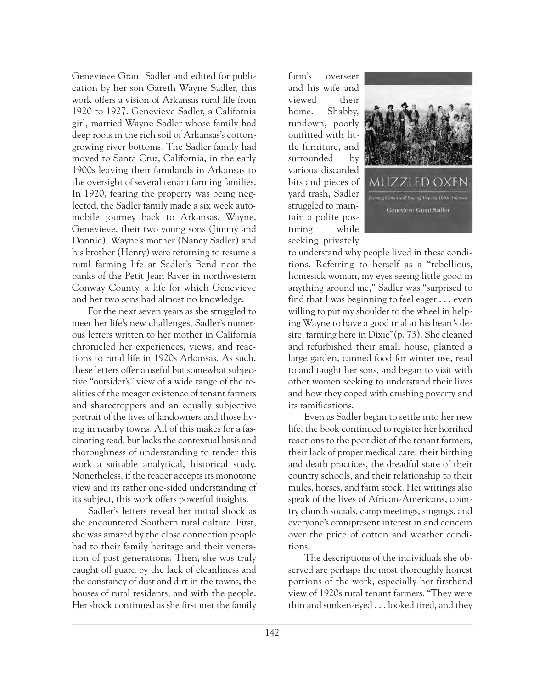Genevieve Grant Sadler and edited for publication by her son Gareth Wayne Sadler, this work offers a vision of Arkansas rural life from 1920 to 1927. Genevieve Sadler, a California girl, married Wayne Sadler whose family had deep roots in the rich soil of Arkansas's cottongrowing river bottoms. The Sadler family had moved to Santa Cruz, California, in the early 1900s leaving their farmlands in Arkansas to the oversight of several tenant farming families. In 1920, fearing the property was being neglected, the Sadler family made a six week automobile journey back to Arkansas. Wayne, Genevieve, their two young sons (Jimmy and Donnie), Wayne's mother (Nancy Sadler) and his brother (Henry) were returning to resume a rural farming life at Sadler's Bend near the banks of the Petit Jean River in northwestern Conway County, a life for which Genevieve and her two sons had almost no knowledge.

For the next seven years as she struggled to meet her life's new challenges, Sadler's numerous letters written to her mother in California chronicled her experiences, views, and reactions to rural life in 1920s Arkansas. As such, these letters offer a useful but somewhat subjective "outsider's" view of a wide range of the realities of the meager existence of tenant farmers and sharecroppers and an equally subjective portrait of the lives of landowners and those living in nearby towns. All of this makes for a fascinating read, but lacks the contextual basis and thoroughness of understanding to render this work a suitable analytical, historical study. Nonetheless, if the reader accepts its monotone view and its rather one-sided understanding of its subject, this work offers powerful insights.

Sadler's letters reveal her initial shock as she encountered Southern rural culture. First, she was amazed by the close connection people had to their family heritage and their veneration of past generations. Then, she was truly caught off guard by the lack of cleanliness and the constancy of dust and dirt in the towns, the houses of rural residents, and with the people. Her shock continued as she first met the family

farm's overseer and his wife and viewed their home. Shabby, rundown, poorly outfitted with little furniture, and surrounded by various discarded bits and pieces of yard trash, Sadler struggled to maintain a polite posturing while seeking privately



to understand why people lived in these conditions. Referring to herself as a "rebellious, homesick woman, my eyes seeing little good in anything around me," Sadler was "surprised to find that I was beginning to feel eager . . . even willing to put my shoulder to the wheel in helping Wayne to have a good trial at his heart's desire, farming here in Dixie"(p. 73). She cleaned and refurbished their small house, planted a large garden, canned food for winter use, read to and taught her sons, and began to visit with other women seeking to understand their lives and how they coped with crushing poverty and its ramifications.

Even as Sadler began to settle into her new life, the book continued to register her horrified reactions to the poor diet of the tenant farmers, their lack of proper medical care, their birthing and death practices, the dreadful state of their country schools, and their relationship to their mules, horses, and farm stock. Her writings also speak of the lives of African-Americans, country church socials, camp meetings, singings, and everyone's omnipresent interest in and concern over the price of cotton and weather conditions.

The descriptions of the individuals she observed are perhaps the most thoroughly honest portions of the work, especially her firsthand view of 1920s rural tenant farmers. "They were thin and sunken-eyed . . . looked tired, and they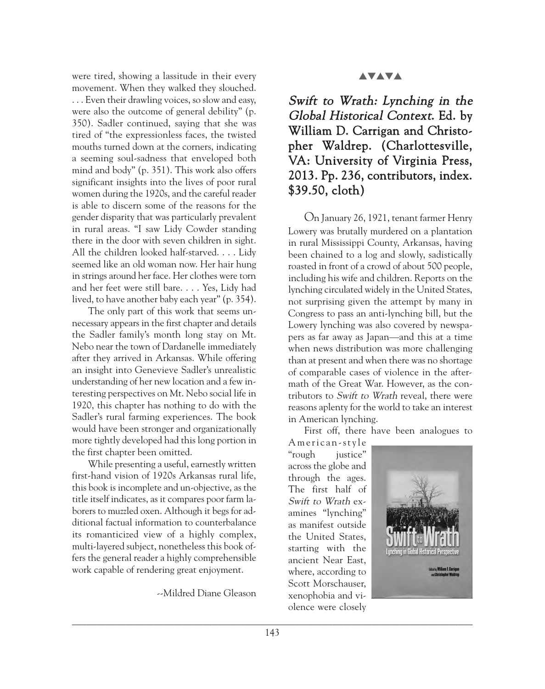were tired, showing a lassitude in their every movement. When they walked they slouched. . . . Even their drawling voices, so slow and easy, were also the outcome of general debility" (p. 350). Sadler continued, saying that she was tired of "the expressionless faces, the twisted mouths turned down at the corners, indicating a seeming soul-sadness that enveloped both mind and body" (p. 351). This work also offers significant insights into the lives of poor rural women during the 1920s, and the careful reader is able to discern some of the reasons for the gender disparity that was particularly prevalent in rural areas. "I saw Lidy Cowder standing there in the door with seven children in sight. All the children looked half-starved. . . . Lidy seemed like an old woman now. Her hair hung in strings around her face. Her clothes were torn and her feet were still bare. . . . Yes, Lidy had lived, to have another baby each year" (p. 354).

The only part of this work that seems unnecessary appears in the first chapter and details the Sadler family's month long stay on Mt. Nebo near the town of Dardanelle immediately after they arrived in Arkansas. While offering an insight into Genevieve Sadler's unrealistic understanding of her new location and a few interesting perspectives on Mt. Nebo social life in 1920, this chapter has nothing to do with the Sadler's rural farming experiences. The book would have been stronger and organizationally more tightly developed had this long portion in the first chapter been omitted.

While presenting a useful, earnestly written first-hand vision of 1920s Arkansas rural life, this book is incomplete and un-objective, as the title itself indicates, as it compares poor farm laborers to muzzled oxen. Although it begs for additional factual information to counterbalance its romanticized view of a highly complex, multi-layered subject, nonetheless this book offers the general reader a highly comprehensible work capable of rendering great enjoyment.

--Mildred Diane Gleason

## **AVAVA**

Swift to Wrath: Lynching in the Global Historical Context. Ed. by William D. Carrigan and Christopher Waldrep. (Charlottesville, VA: University of Virginia Press, 2013. Pp. 236, contributors, index. \$39.50, cloth)

On January 26, 1921, tenant farmer Henry Lowery was brutally murdered on a plantation in rural Mississippi County, Arkansas, having been chained to a log and slowly, sadistically roasted in front of a crowd of about 500 people, including his wife and children. Reports on the lynching circulated widely in the United States, not surprising given the attempt by many in Congress to pass an anti-lynching bill, but the Lowery lynching was also covered by newspapers as far away as Japan—and this at a time when news distribution was more challenging than at present and when there was no shortage of comparable cases of violence in the aftermath of the Great War. However, as the contributors to Swift to Wrath reveal, there were reasons aplenty for the world to take an interest in American lynching.

First off, there have been analogues to

A merican-style "rough justice" across the globe and through the ages. The first half of Swift to Wrath examines "lynching" as manifest outside the United States, starting with the ancient Near East, where, according to Scott Morschauser, xenophobia and violence were closely

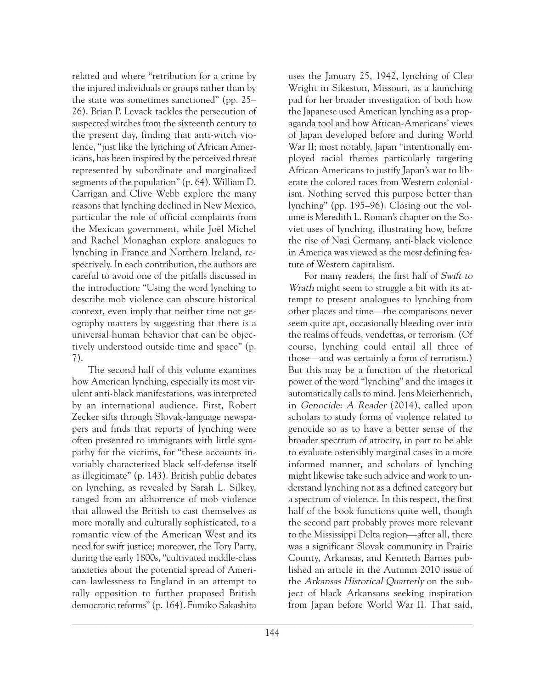related and where "retribution for a crime by the injured individuals or groups rather than by the state was sometimes sanctioned" (pp. 25– 26). Brian P. Levack tackles the persecution of suspected witches from the sixteenth century to the present day, finding that anti-witch violence, "just like the lynching of African Americans, has been inspired by the perceived threat represented by subordinate and marginalized segments of the population" (p. 64). William D. Carrigan and Clive Webb explore the many reasons that lynching declined in New Mexico, particular the role of official complaints from the Mexican government, while Joël Michel and Rachel Monaghan explore analogues to lynching in France and Northern Ireland, respectively. In each contribution, the authors are careful to avoid one of the pitfalls discussed in the introduction: "Using the word lynching to describe mob violence can obscure historical context, even imply that neither time not geography matters by suggesting that there is a universal human behavior that can be objectively understood outside time and space" (p. 7).

The second half of this volume examines how American lynching, especially its most virulent anti-black manifestations, was interpreted by an international audience. First, Robert Zecker sifts through Slovak-language newspapers and finds that reports of lynching were often presented to immigrants with little sympathy for the victims, for "these accounts invariably characterized black self-defense itself as illegitimate" (p. 143). British public debates on lynching, as revealed by Sarah L. Silkey, ranged from an abhorrence of mob violence that allowed the British to cast themselves as more morally and culturally sophisticated, to a romantic view of the American West and its need for swift justice; moreover, the Tory Party, during the early 1800s, "cultivated middle-class anxieties about the potential spread of American lawlessness to England in an attempt to rally opposition to further proposed British democratic reforms" (p. 164). Fumiko Sakashita uses the January 25, 1942, lynching of Cleo Wright in Sikeston, Missouri, as a launching pad for her broader investigation of both how the Japanese used American lynching as a propaganda tool and how African-Americans' views of Japan developed before and during World War II; most notably, Japan "intentionally employed racial themes particularly targeting African Americans to justify Japan's war to liberate the colored races from Western colonialism. Nothing served this purpose better than lynching" (pp. 195–96). Closing out the volume is Meredith L. Roman's chapter on the Soviet uses of lynching, illustrating how, before the rise of Nazi Germany, anti-black violence in America was viewed as the most defining feature of Western capitalism.

For many readers, the first half of Swift to Wrath might seem to struggle a bit with its attempt to present analogues to lynching from other places and time—the comparisons never seem quite apt, occasionally bleeding over into the realms of feuds, vendettas, or terrorism. (Of course, lynching could entail all three of those—and was certainly a form of terrorism.) But this may be a function of the rhetorical power of the word "lynching" and the images it automatically calls to mind. Jens Meierhenrich, in Genocide: A Reader (2014), called upon scholars to study forms of violence related to genocide so as to have a better sense of the broader spectrum of atrocity, in part to be able to evaluate ostensibly marginal cases in a more informed manner, and scholars of lynching might likewise take such advice and work to understand lynching not as a defined category but a spectrum of violence. In this respect, the first half of the book functions quite well, though the second part probably proves more relevant to the Mississippi Delta region—after all, there was a significant Slovak community in Prairie County, Arkansas, and Kenneth Barnes published an article in the Autumn 2010 issue of the Arkansas Historical Quarterly on the subject of black Arkansans seeking inspiration from Japan before World War II. That said,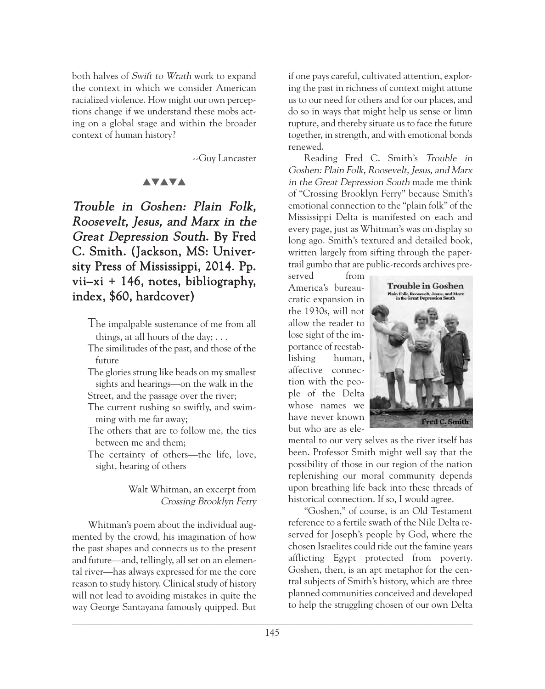both halves of Swift to Wrath work to expand the context in which we consider American racialized violence. How might our own perceptions change if we understand these mobs acting on a global stage and within the broader context of human history?

--Guy Lancaster

#### **AVAVA**

# Trouble in Goshen: Plain Folk, Roosevelt, Jesus, and Marx in the Great Depression South. By Fred C. Smith. (Jackson, MS: University Press of Mississippi, 2014. Pp. vii–xi + 146, notes, bibliography, index, \$60, hardcover)

- The impalpable sustenance of me from all things, at all hours of the day; . . .
- The similitudes of the past, and those of the future
- The glories strung like beads on my smallest sights and hearings—on the walk in the Street, and the passage over the river;
- The current rushing so swiftly, and swimming with me far away;
- The others that are to follow me, the ties between me and them;
- The certainty of others—the life, love, sight, hearing of others

#### Walt Whitman, an excerpt from Crossing Brooklyn Ferry

Whitman's poem about the individual augmented by the crowd, his imagination of how the past shapes and connects us to the present and future—and, tellingly, all set on an elemental river—has always expressed for me the core reason to study history. Clinical study of history will not lead to avoiding mistakes in quite the way George Santayana famously quipped. But if one pays careful, cultivated attention, exploring the past in richness of context might attune us to our need for others and for our places, and do so in ways that might help us sense or limn rupture, and thereby situate us to face the future together, in strength, and with emotional bonds renewed.

Reading Fred C. Smith's Trouble in Goshen: Plain Folk, Roosevelt, Jesus, and Marx in the Great Depression South made me think of "Crossing Brooklyn Ferry" because Smith's emotional connection to the "plain folk" of the Mississippi Delta is manifested on each and every page, just as Whitman's was on display so long ago. Smith's textured and detailed book, written largely from sifting through the papertrail gumbo that are public-records archives pre-

served from America's bureaucratic expansion in the 1930s, will not allow the reader to lose sight of the importance of reestablishing human, affective connection with the people of the Delta whose names we have never known but who are as ele-



mental to our very selves as the river itself has been. Professor Smith might well say that the possibility of those in our region of the nation replenishing our moral community depends upon breathing life back into these threads of historical connection. If so, I would agree.

"Goshen," of course, is an Old Testament reference to a fertile swath of the Nile Delta reserved for Joseph's people by God, where the chosen Israelites could ride out the famine years afflicting Egypt protected from poverty. Goshen, then, is an apt metaphor for the central subjects of Smith's history, which are three planned communities conceived and developed to help the struggling chosen of our own Delta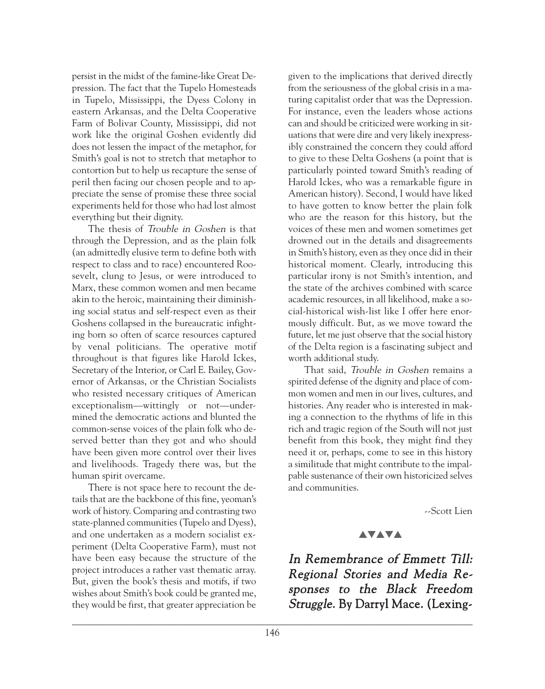persist in the midst of the famine-like Great Depression. The fact that the Tupelo Homesteads in Tupelo, Mississippi, the Dyess Colony in eastern Arkansas, and the Delta Cooperative Farm of Bolivar County, Mississippi, did not work like the original Goshen evidently did does not lessen the impact of the metaphor, for Smith's goal is not to stretch that metaphor to contortion but to help us recapture the sense of peril then facing our chosen people and to appreciate the sense of promise these three social experiments held for those who had lost almost everything but their dignity.

The thesis of Trouble in Goshen is that through the Depression, and as the plain folk (an admittedly elusive term to define both with respect to class and to race) encountered Roosevelt, clung to Jesus, or were introduced to Marx, these common women and men became akin to the heroic, maintaining their diminishing social status and self-respect even as their Goshens collapsed in the bureaucratic infighting born so often of scarce resources captured by venal politicians. The operative motif throughout is that figures like Harold Ickes, Secretary of the Interior, or Carl E. Bailey, Governor of Arkansas, or the Christian Socialists who resisted necessary critiques of American exceptionalism—wittingly or not—undermined the democratic actions and blunted the common-sense voices of the plain folk who deserved better than they got and who should have been given more control over their lives and livelihoods. Tragedy there was, but the human spirit overcame.

There is not space here to recount the details that are the backbone of this fine, yeoman's work of history. Comparing and contrasting two state-planned communities (Tupelo and Dyess), and one undertaken as a modern socialist experiment (Delta Cooperative Farm), must not have been easy because the structure of the project introduces a rather vast thematic array. But, given the book's thesis and motifs, if two wishes about Smith's book could be granted me, they would be first, that greater appreciation be

given to the implications that derived directly from the seriousness of the global crisis in a maturing capitalist order that was the Depression. For instance, even the leaders whose actions can and should be criticized were working in situations that were dire and very likely inexpressibly constrained the concern they could afford to give to these Delta Goshens (a point that is particularly pointed toward Smith's reading of Harold Ickes, who was a remarkable figure in American history). Second, I would have liked to have gotten to know better the plain folk who are the reason for this history, but the voices of these men and women sometimes get drowned out in the details and disagreements in Smith's history, even as they once did in their historical moment. Clearly, introducing this particular irony is not Smith's intention, and the state of the archives combined with scarce academic resources, in all likelihood, make a social-historical wish-list like I offer here enormously difficult. But, as we move toward the future, let me just observe that the social history of the Delta region is a fascinating subject and worth additional study.

That said, Trouble in Goshen remains a spirited defense of the dignity and place of common women and men in our lives, cultures, and histories. Any reader who is interested in making a connection to the rhythms of life in this rich and tragic region of the South will not just benefit from this book, they might find they need it or, perhaps, come to see in this history a similitude that might contribute to the impalpable sustenance of their own historicized selves and communities.

--Scott Lien

#### **AVAVA**

In Remembrance of Emmett Till: Regional Stories and Media Responses to the Black Freedom Struggle. By Darryl Mace. (Lexing-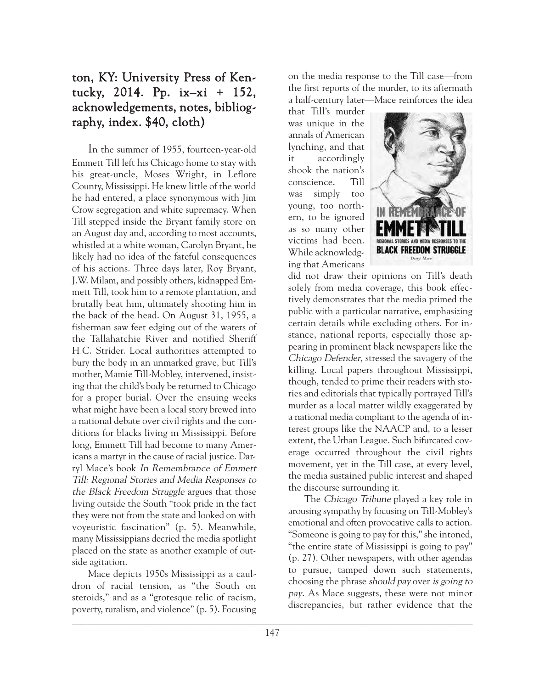# ton, KY: University Press of Kentucky, 2014. Pp. ix–xi + 152, acknowledgements, notes, bibliography, index. \$40, cloth)

In the summer of 1955, fourteen-year-old Emmett Till left his Chicago home to stay with his great-uncle, Moses Wright, in Leflore County, Mississippi. He knew little of the world he had entered, a place synonymous with Jim Crow segregation and white supremacy. When Till stepped inside the Bryant family store on an August day and, according to most accounts, whistled at a white woman, Carolyn Bryant, he likely had no idea of the fateful consequences of his actions. Three days later, Roy Bryant, J.W. Milam, and possibly others, kidnapped Emmett Till, took him to a remote plantation, and brutally beat him, ultimately shooting him in the back of the head. On August 31, 1955, a fisherman saw feet edging out of the waters of the Tallahatchie River and notified Sheriff H.C. Strider. Local authorities attempted to bury the body in an unmarked grave, but Till's mother, Mamie Till-Mobley, intervened, insisting that the child's body be returned to Chicago for a proper burial. Over the ensuing weeks what might have been a local story brewed into a national debate over civil rights and the conditions for blacks living in Mississippi. Before long, Emmett Till had become to many Americans a martyr in the cause of racial justice. Darryl Mace's book In Remembrance of Emmett Till: Regional Stories and Media Responses to the Black Freedom Struggle argues that those living outside the South "took pride in the fact they were not from the state and looked on with voyeuristic fascination" (p. 5). Meanwhile, many Mississippians decried the media spotlight placed on the state as another example of outside agitation.

Mace depicts 1950s Mississippi as a cauldron of racial tension, as "the South on steroids," and as a "grotesque relic of racism, poverty, ruralism, and violence" (p. 5). Focusing on the media response to the Till case—from the first reports of the murder, to its aftermath a half-century later—Mace reinforces the idea

that Till's murder was unique in the annals of American lynching, and that it accordingly shook the nation's conscience. Till was simply too young, too northern, to be ignored as so many other victims had been. While acknowledging that Americans



did not draw their opinions on Till's death solely from media coverage, this book effectively demonstrates that the media primed the public with a particular narrative, emphasizing certain details while excluding others. For instance, national reports, especially those appearing in prominent black newspapers like the Chicago Defender, stressed the savagery of the killing. Local papers throughout Mississippi, though, tended to prime their readers with stories and editorials that typically portrayed Till's murder as a local matter wildly exaggerated by a national media compliant to the agenda of interest groups like the NAACP and, to a lesser extent, the Urban League. Such bifurcated coverage occurred throughout the civil rights movement, yet in the Till case, at every level, the media sustained public interest and shaped the discourse surrounding it.

The Chicago Tribune played a key role in arousing sympathy by focusing on Till-Mobley's emotional and often provocative calls to action. "Someone is going to pay for this," she intoned, "the entire state of Mississippi is going to pay" (p. 27). Other newspapers, with other agendas to pursue, tamped down such statements, choosing the phrase should pay over is going to pay. As Mace suggests, these were not minor discrepancies, but rather evidence that the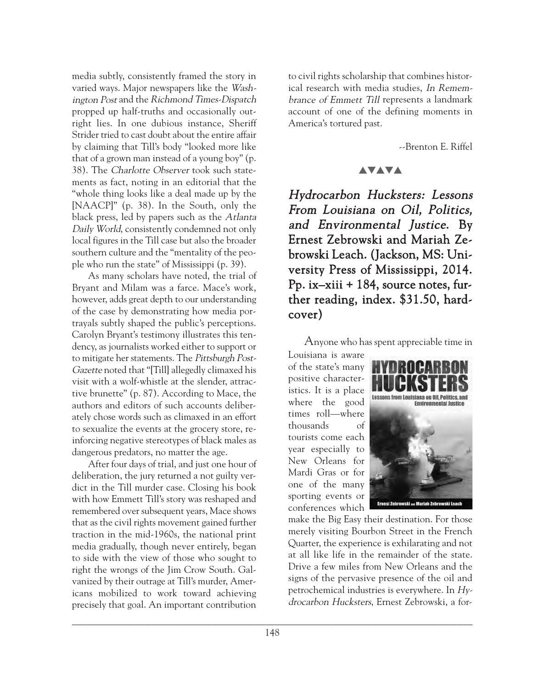media subtly, consistently framed the story in varied ways. Major newspapers like the Washington Post and the Richmond Times-Dispatch propped up half-truths and occasionally outright lies. In one dubious instance, Sheriff Strider tried to cast doubt about the entire affair by claiming that Till's body "looked more like that of a grown man instead of a young boy" (p. 38). The Charlotte Observer took such statements as fact, noting in an editorial that the "whole thing looks like a deal made up by the [NAACP]" (p. 38). In the South, only the black press, led by papers such as the Atlanta Daily World, consistently condemned not only local figures in the Till case but also the broader southern culture and the "mentality of the people who run the state" of Mississippi (p. 39).

As many scholars have noted, the trial of Bryant and Milam was a farce. Mace's work, however, adds great depth to our understanding of the case by demonstrating how media portrayals subtly shaped the public's perceptions. Carolyn Bryant's testimony illustrates this tendency, as journalists worked either to support or to mitigate her statements. The Pittsburgh Post-Gazette noted that "[Till] allegedly climaxed his visit with a wolf-whistle at the slender, attractive brunette" (p. 87). According to Mace, the authors and editors of such accounts deliberately chose words such as climaxed in an effort to sexualize the events at the grocery store, reinforcing negative stereotypes of black males as dangerous predators, no matter the age.

After four days of trial, and just one hour of deliberation, the jury returned a not guilty verdict in the Till murder case. Closing his book with how Emmett Till's story was reshaped and remembered over subsequent years, Mace shows that as the civil rights movement gained further traction in the mid-1960s, the national print media gradually, though never entirely, began to side with the view of those who sought to right the wrongs of the Jim Crow South. Galvanized by their outrage at Till's murder, Americans mobilized to work toward achieving precisely that goal. An important contribution

to civil rights scholarship that combines historical research with media studies, In Remembrance of Emmett Till represents a landmark account of one of the defining moments in America's tortured past.

--Brenton E. Riffel

## **AVAVA**

Hydrocarbon Hucksters: Lessons From Louisiana on Oil, Politics, and Environmental Justice. By Ernest Zebrowski and Mariah Zebrowski Leach. (Jackson, MS: University Press of Mississippi, 2014. Pp. ix–xiii + 184, source notes, further reading, index. \$31.50, hardcover)

Anyone who has spent appreciable time in

Louisiana is aware of the state's many positive characteristics. It is a place where the good times roll—where thousands of tourists come each year especially to New Orleans for Mardi Gras or for one of the many sporting events or conferences which



make the Big Easy their destination. For those merely visiting Bourbon Street in the French Quarter, the experience is exhilarating and not at all like life in the remainder of the state. Drive a few miles from New Orleans and the signs of the pervasive presence of the oil and petrochemical industries is everywhere. In Hydrocarbon Hucksters, Ernest Zebrowski, a for-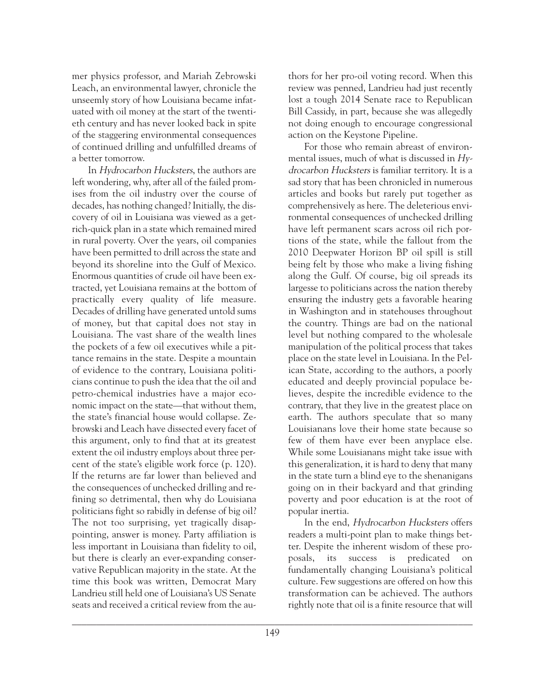mer physics professor, and Mariah Zebrowski Leach, an environmental lawyer, chronicle the unseemly story of how Louisiana became infatuated with oil money at the start of the twentieth century and has never looked back in spite of the staggering environmental consequences of continued drilling and unfulfilled dreams of a better tomorrow.

In Hydrocarbon Hucksters, the authors are left wondering, why, after all of the failed promises from the oil industry over the course of decades, has nothing changed? Initially, the discovery of oil in Louisiana was viewed as a getrich-quick plan in a state which remained mired in rural poverty. Over the years, oil companies have been permitted to drill across the state and beyond its shoreline into the Gulf of Mexico. Enormous quantities of crude oil have been extracted, yet Louisiana remains at the bottom of practically every quality of life measure. Decades of drilling have generated untold sums of money, but that capital does not stay in Louisiana. The vast share of the wealth lines the pockets of a few oil executives while a pittance remains in the state. Despite a mountain of evidence to the contrary, Louisiana politicians continue to push the idea that the oil and petro-chemical industries have a major economic impact on the state—that without them, the state's financial house would collapse. Zebrowski and Leach have dissected every facet of this argument, only to find that at its greatest extent the oil industry employs about three percent of the state's eligible work force (p. 120). If the returns are far lower than believed and the consequences of unchecked drilling and refining so detrimental, then why do Louisiana politicians fight so rabidly in defense of big oil? The not too surprising, yet tragically disappointing, answer is money. Party affiliation is less important in Louisiana than fidelity to oil, but there is clearly an ever-expanding conservative Republican majority in the state. At the time this book was written, Democrat Mary Landrieu still held one of Louisiana's US Senate seats and received a critical review from the authors for her pro-oil voting record. When this review was penned, Landrieu had just recently lost a tough 2014 Senate race to Republican Bill Cassidy, in part, because she was allegedly not doing enough to encourage congressional action on the Keystone Pipeline.

For those who remain abreast of environmental issues, much of what is discussed in Hydrocarbon Hucksters is familiar territory. It is a sad story that has been chronicled in numerous articles and books but rarely put together as comprehensively as here. The deleterious environmental consequences of unchecked drilling have left permanent scars across oil rich portions of the state, while the fallout from the 2010 Deepwater Horizon BP oil spill is still being felt by those who make a living fishing along the Gulf. Of course, big oil spreads its largesse to politicians across the nation thereby ensuring the industry gets a favorable hearing in Washington and in statehouses throughout the country. Things are bad on the national level but nothing compared to the wholesale manipulation of the political process that takes place on the state level in Louisiana. In the Pelican State, according to the authors, a poorly educated and deeply provincial populace believes, despite the incredible evidence to the contrary, that they live in the greatest place on earth. The authors speculate that so many Louisianans love their home state because so few of them have ever been anyplace else. While some Louisianans might take issue with this generalization, it is hard to deny that many in the state turn a blind eye to the shenanigans going on in their backyard and that grinding poverty and poor education is at the root of popular inertia.

In the end, Hydrocarbon Hucksters offers readers a multi-point plan to make things better. Despite the inherent wisdom of these proposals, its success is predicated on fundamentally changing Louisiana's political culture. Few suggestions are offered on how this transformation can be achieved. The authors rightly note that oil is a finite resource that will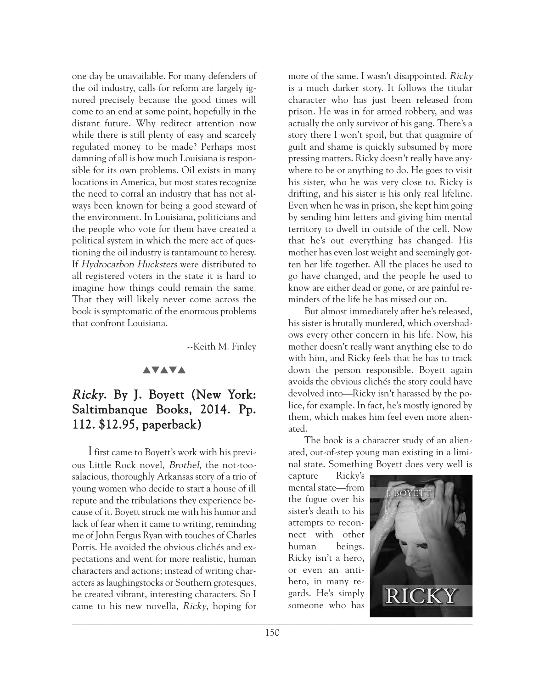one day be unavailable. For many defenders of the oil industry, calls for reform are largely ignored precisely because the good times will come to an end at some point, hopefully in the distant future. Why redirect attention now while there is still plenty of easy and scarcely regulated money to be made? Perhaps most damning of all is how much Louisiana is responsible for its own problems. Oil exists in many locations in America, but most states recognize the need to corral an industry that has not always been known for being a good steward of the environment. In Louisiana, politicians and the people who vote for them have created a political system in which the mere act of questioning the oil industry is tantamount to heresy. If Hydrocarbon Hucksters were distributed to all registered voters in the state it is hard to imagine how things could remain the same. That they will likely never come across the book is symptomatic of the enormous problems that confront Louisiana.

--Keith M. Finley

## **AVAVA**

# Ricky. By J. Boyett (New York: Saltimbanque Books, 2014. Pp. 112. \$12.95, paperback)

Ifirst came to Boyett's work with his previous Little Rock novel, Brothel, the not-toosalacious, thoroughly Arkansas story of a trio of young women who decide to start a house of ill repute and the tribulations they experience because of it. Boyett struck me with his humor and lack of fear when it came to writing, reminding me of John Fergus Ryan with touches of Charles Portis. He avoided the obvious clichés and expectations and went for more realistic, human characters and actions; instead of writing characters as laughingstocks or Southern grotesques, he created vibrant, interesting characters. So I came to his new novella, Ricky, hoping for more of the same. I wasn't disappointed. Ricky is a much darker story. It follows the titular character who has just been released from prison. He was in for armed robbery, and was actually the only survivor of his gang. There's a story there I won't spoil, but that quagmire of guilt and shame is quickly subsumed by more pressing matters. Ricky doesn't really have anywhere to be or anything to do. He goes to visit his sister, who he was very close to. Ricky is drifting, and his sister is his only real lifeline. Even when he was in prison, she kept him going by sending him letters and giving him mental territory to dwell in outside of the cell. Now that he's out everything has changed. His mother has even lost weight and seemingly gotten her life together. All the places he used to go have changed, and the people he used to know are either dead or gone, or are painful reminders of the life he has missed out on.

But almost immediately after he's released, his sister is brutally murdered, which overshadows every other concern in his life. Now, his mother doesn't really want anything else to do with him, and Ricky feels that he has to track down the person responsible. Boyett again avoids the obvious clichés the story could have devolved into—Ricky isn't harassed by the police, for example. In fact, he's mostly ignored by them, which makes him feel even more alienated.

The book is a character study of an alienated, out-of-step young man existing in a liminal state. Something Boyett does very well is

capture Ricky's mental state—from the fugue over his sister's death to his attempts to reconnect with other human beings. Ricky isn't a hero, or even an antihero, in many regards. He's simply someone who has

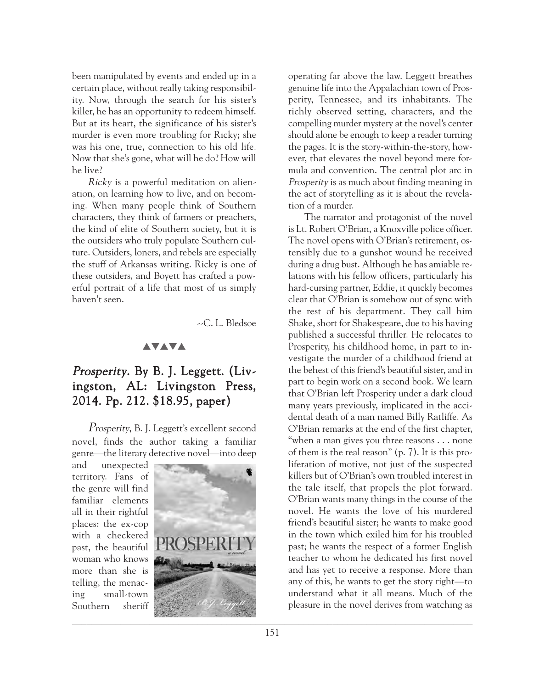been manipulated by events and ended up in a certain place, without really taking responsibility. Now, through the search for his sister's killer, he has an opportunity to redeem himself. But at its heart, the significance of his sister's murder is even more troubling for Ricky; she was his one, true, connection to his old life. Now that she's gone, what will he do? How will he live?

Ricky is a powerful meditation on alienation, on learning how to live, and on becoming. When many people think of Southern characters, they think of farmers or preachers, the kind of elite of Southern society, but it is the outsiders who truly populate Southern culture. Outsiders, loners, and rebels are especially the stuff of Arkansas writing. Ricky is one of these outsiders, and Boyett has crafted a powerful portrait of a life that most of us simply haven't seen.

--C. L. Bledsoe

#### **AVAVA**

# Prosperity. By B. J. Leggett. (Livingston, AL: Livingston Press, 2014. Pp. 212. \$18.95, paper)

Prosperity, B. J. Leggett's excellent second novel, finds the author taking a familiar genre—the literary detective novel—into deep

and unexpected territory. Fans of the genre will find familiar elements all in their rightful places: the ex-cop with a checkered past, the beautiful woman who knows more than she is telling, the menacing small-town Southern sheriff



operating far above the law. Leggett breathes genuine life into the Appalachian town of Prosperity, Tennessee, and its inhabitants. The richly observed setting, characters, and the compelling murder mystery at the novel's center should alone be enough to keep a reader turning the pages. It is the story-within-the-story, however, that elevates the novel beyond mere formula and convention. The central plot arc in Prosperity is as much about finding meaning in the act of storytelling as it is about the revelation of a murder.

The narrator and protagonist of the novel is Lt. Robert O'Brian, a Knoxville police officer. The novel opens with O'Brian's retirement, ostensibly due to a gunshot wound he received during a drug bust. Although he has amiable relations with his fellow officers, particularly his hard-cursing partner, Eddie, it quickly becomes clear that O'Brian is somehow out of sync with the rest of his department. They call him Shake, short for Shakespeare, due to his having published a successful thriller. He relocates to Prosperity, his childhood home, in part to investigate the murder of a childhood friend at the behest of this friend's beautiful sister, and in part to begin work on a second book. We learn that O'Brian left Prosperity under a dark cloud many years previously, implicated in the accidental death of a man named Billy Ratliffe. As O'Brian remarks at the end of the first chapter, "when a man gives you three reasons . . . none of them is the real reason" (p. 7). It is this proliferation of motive, not just of the suspected killers but of O'Brian's own troubled interest in the tale itself, that propels the plot forward. O'Brian wants many things in the course of the novel. He wants the love of his murdered friend's beautiful sister; he wants to make good in the town which exiled him for his troubled past; he wants the respect of a former English teacher to whom he dedicated his first novel and has yet to receive a response. More than any of this, he wants to get the story right—to understand what it all means. Much of the pleasure in the novel derives from watching as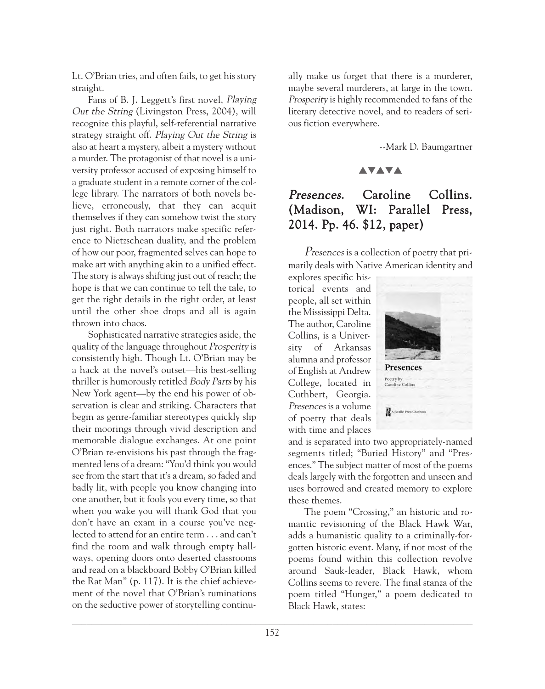Lt. O'Brian tries, and often fails, to get his story straight.

Fans of B. J. Leggett's first novel, Playing Out the String (Livingston Press, 2004), will recognize this playful, self-referential narrative strategy straight off. Playing Out the String is also at heart a mystery, albeit a mystery without a murder. The protagonist of that novel is a university professor accused of exposing himself to a graduate student in a remote corner of the college library. The narrators of both novels believe, erroneously, that they can acquit themselves if they can somehow twist the story just right. Both narrators make specific reference to Nietzschean duality, and the problem of how our poor, fragmented selves can hope to make art with anything akin to a unified effect. The story is always shifting just out of reach; the hope is that we can continue to tell the tale, to get the right details in the right order, at least until the other shoe drops and all is again thrown into chaos.

Sophisticated narrative strategies aside, the quality of the language throughout Prosperity is consistently high. Though Lt. O'Brian may be a hack at the novel's outset—his best-selling thriller is humorously retitled Body Parts by his New York agent—by the end his power of observation is clear and striking. Characters that begin as genre-familiar stereotypes quickly slip their moorings through vivid description and memorable dialogue exchanges. At one point O'Brian re-envisions his past through the fragmented lens of a dream: "You'd think you would see from the start that it's a dream, so faded and badly lit, with people you know changing into one another, but it fools you every time, so that when you wake you will thank God that you don't have an exam in a course you've neglected to attend for an entire term . . . and can't find the room and walk through empty hallways, opening doors onto deserted classrooms and read on a blackboard Bobby O'Brian killed the Rat Man" (p. 117). It is the chief achievement of the novel that O'Brian's ruminations on the seductive power of storytelling continu-

ally make us forget that there is a murderer, maybe several murderers, at large in the town. Prosperity is highly recommended to fans of the literary detective novel, and to readers of serious fiction everywhere.

--Mark D. Baumgartner

#### **AVAVA**

# Presences. Caroline Collins. (Madison, WI: Parallel Press, 2014. Pp. 46. \$12, paper)

Presences is a collection of poetry that primarily deals with Native American identity and

explores specific historical events and people, all set within the Mississippi Delta. The author, Caroline Collins, is a University of Arkansas alumna and professor of English at Andrew College, located in Cuthbert, Georgia. Presences is a volume of poetry that deals with time and places



and is separated into two appropriately-named segments titled; "Buried History" and "Presences." The subject matter of most of the poems deals largely with the forgotten and unseen and uses borrowed and created memory to explore these themes.

The poem "Crossing," an historic and romantic revisioning of the Black Hawk War, adds a humanistic quality to a criminally-forgotten historic event. Many, if not most of the poems found within this collection revolve around Sauk-leader, Black Hawk, whom Collins seems to revere. The final stanza of the poem titled "Hunger," a poem dedicated to Black Hawk, states: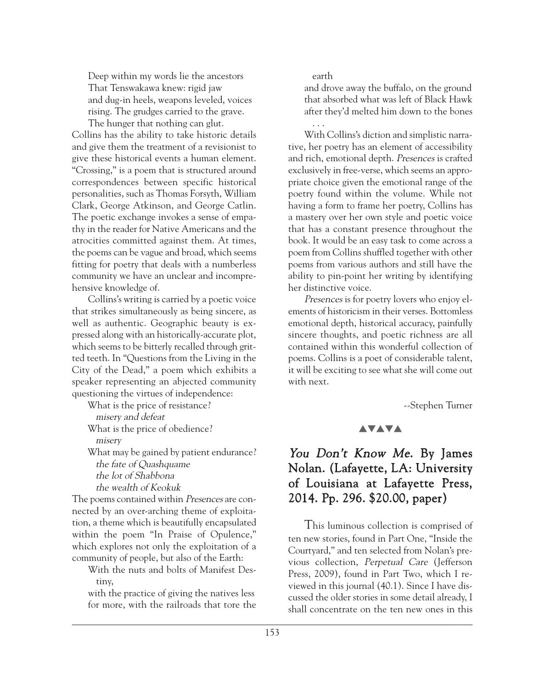Deep within my words lie the ancestors That Tenswakawa knew: rigid jaw and dug-in heels, weapons leveled, voices rising. The grudges carried to the grave. The hunger that nothing can glut.

Collins has the ability to take historic details and give them the treatment of a revisionist to give these historical events a human element. "Crossing," is a poem that is structured around correspondences between specific historical personalities, such as Thomas Forsyth, William Clark, George Atkinson, and George Catlin. The poetic exchange invokes a sense of empathy in the reader for Native Americans and the atrocities committed against them. At times, the poems can be vague and broad, which seems fitting for poetry that deals with a numberless community we have an unclear and incomprehensive knowledge of.

Collins's writing is carried by a poetic voice that strikes simultaneously as being sincere, as well as authentic. Geographic beauty is expressed along with an historically-accurate plot, which seems to be bitterly recalled through gritted teeth. In "Questions from the Living in the City of the Dead," a poem which exhibits a speaker representing an abjected community questioning the virtues of independence:

What is the price of resistance? misery and defeat What is the price of obedience? misery What may be gained by patient endurance? the fate of Quashquame the lot of Shabbona

the wealth of Keokuk

The poems contained within Presences are connected by an over-arching theme of exploitation, a theme which is beautifully encapsulated within the poem "In Praise of Opulence," which explores not only the exploitation of a community of people, but also of the Earth:

With the nuts and bolts of Manifest Destiny,

with the practice of giving the natives less for more, with the railroads that tore the earth

and drove away the buffalo, on the ground that absorbed what was left of Black Hawk after they'd melted him down to the bones . . .

With Collins's diction and simplistic narrative, her poetry has an element of accessibility and rich, emotional depth. Presences is crafted exclusively in free-verse, which seems an appropriate choice given the emotional range of the poetry found within the volume. While not having a form to frame her poetry, Collins has a mastery over her own style and poetic voice that has a constant presence throughout the book. It would be an easy task to come across a poem from Collins shuffled together with other poems from various authors and still have the ability to pin-point her writing by identifying her distinctive voice.

Presences is for poetry lovers who enjoy elements of historicism in their verses. Bottomless emotional depth, historical accuracy, painfully sincere thoughts, and poetic richness are all contained within this wonderful collection of poems. Collins is a poet of considerable talent, it will be exciting to see what she will come out with next.

--Stephen Turner

## **AVAVA**

# You Don't Know Me. By James Nolan. (Lafayette, LA: University of Louisiana at Lafayette Press, 2014. Pp. 296. \$20.00, paper)

This luminous collection is comprised of ten new stories, found in Part One, "Inside the Courtyard," and ten selected from Nolan's previous collection, Perpetual Care (Jefferson Press, 2009), found in Part Two, which I reviewed in this journal (40.1). Since I have discussed the older stories in some detail already, I shall concentrate on the ten new ones in this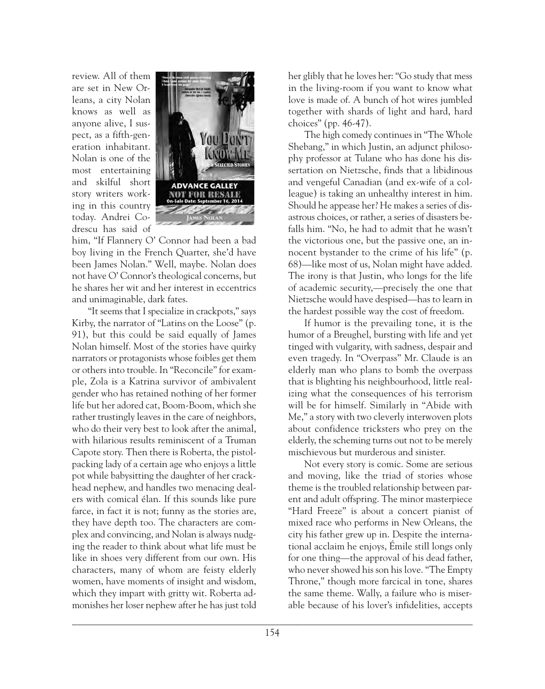review. All of them are set in New Orleans, a city Nolan knows as well as anyone alive, I suspect, as a fifth-generation inhabitant. Nolan is one of the most entertaining and skilful short story writers working in this country today. Andrei Codrescu has said of



him, "If Flannery O' Connor had been a bad boy living in the French Quarter, she'd have been James Nolan." Well, maybe. Nolan does not have O' Connor's theological concerns, but he shares her wit and her interest in eccentrics and unimaginable, dark fates.

"It seems that I specialize in crackpots," says Kirby, the narrator of "Latins on the Loose" (p. 91), but this could be said equally of James Nolan himself. Most of the stories have quirky narrators or protagonists whose foibles get them or others into trouble. In "Reconcile" for example, Zola is a Katrina survivor of ambivalent gender who has retained nothing of her former life but her adored cat, Boom-Boom, which she rather trustingly leaves in the care of neighbors, who do their very best to look after the animal, with hilarious results reminiscent of a Truman Capote story. Then there is Roberta, the pistolpacking lady of a certain age who enjoys a little pot while babysitting the daughter of her crackhead nephew, and handles two menacing dealers with comical élan. If this sounds like pure farce, in fact it is not; funny as the stories are, they have depth too. The characters are complex and convincing, and Nolan is always nudging the reader to think about what life must be like in shoes very different from our own. His characters, many of whom are feisty elderly women, have moments of insight and wisdom, which they impart with gritty wit. Roberta admonishes her loser nephew after he has just told

her glibly that he loves her: "Go study that mess in the living-room if you want to know what love is made of. A bunch of hot wires jumbled together with shards of light and hard, hard choices" (pp. 46-47).

The high comedy continues in "The Whole Shebang," in which Justin, an adjunct philosophy professor at Tulane who has done his dissertation on Nietzsche, finds that a libidinous and vengeful Canadian (and ex-wife of a colleague) is taking an unhealthy interest in him. Should he appease her? He makes a series of disastrous choices, or rather, a series of disasters befalls him. "No, he had to admit that he wasn't the victorious one, but the passive one, an innocent bystander to the crime of his life" (p. 68)—like most of us, Nolan might have added. The irony is that Justin, who longs for the life of academic security,—precisely the one that Nietzsche would have despised—has to learn in the hardest possible way the cost of freedom.

If humor is the prevailing tone, it is the humor of a Breughel, bursting with life and yet tinged with vulgarity, with sadness, despair and even tragedy. In "Overpass" Mr. Claude is an elderly man who plans to bomb the overpass that is blighting his neighbourhood, little realizing what the consequences of his terrorism will be for himself. Similarly in "Abide with Me," a story with two cleverly interwoven plots about confidence tricksters who prey on the elderly, the scheming turns out not to be merely mischievous but murderous and sinister.

Not every story is comic. Some are serious and moving, like the triad of stories whose theme is the troubled relationship between parent and adult offspring. The minor masterpiece "Hard Freeze" is about a concert pianist of mixed race who performs in New Orleans, the city his father grew up in. Despite the international acclaim he enjoys, Émile still longs only for one thing—the approval of his dead father, who never showed his son his love. "The Empty Throne," though more farcical in tone, shares the same theme. Wally, a failure who is miserable because of his lover's infidelities, accepts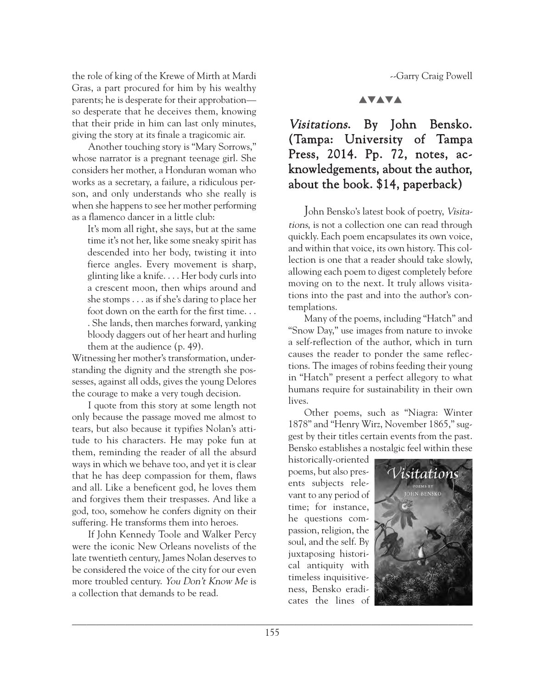the role of king of the Krewe of Mirth at Mardi Gras, a part procured for him by his wealthy parents; he is desperate for their approbation so desperate that he deceives them, knowing that their pride in him can last only minutes, giving the story at its finale a tragicomic air.

Another touching story is "Mary Sorrows," whose narrator is a pregnant teenage girl. She considers her mother, a Honduran woman who works as a secretary, a failure, a ridiculous person, and only understands who she really is when she happens to see her mother performing as a flamenco dancer in a little club:

It's mom all right, she says, but at the same time it's not her, like some sneaky spirit has descended into her body, twisting it into fierce angles. Every movement is sharp, glinting like a knife. . . . Her body curls into a crescent moon, then whips around and she stomps . . . as if she's daring to place her foot down on the earth for the first time. . . . She lands, then marches forward, yanking bloody daggers out of her heart and hurling them at the audience (p. 49).

Witnessing her mother's transformation, understanding the dignity and the strength she possesses, against all odds, gives the young Delores the courage to make a very tough decision.

I quote from this story at some length not only because the passage moved me almost to tears, but also because it typifies Nolan's attitude to his characters. He may poke fun at them, reminding the reader of all the absurd ways in which we behave too, and yet it is clear that he has deep compassion for them, flaws and all. Like a beneficent god, he loves them and forgives them their trespasses. And like a god, too, somehow he confers dignity on their suffering. He transforms them into heroes.

If John Kennedy Toole and Walker Percy were the iconic New Orleans novelists of the late twentieth century, James Nolan deserves to be considered the voice of the city for our even more troubled century. You Don't Know Me is a collection that demands to be read.

--Garry Craig Powell

#### **AVAVA**

# Visitations. By John Bensko. (Tampa: University of Tampa Press, 2014. Pp. 72, notes, acknowledgements, about the author, about the book. \$14, paperback)

John Bensko's latest book of poetry, Visitations, is not a collection one can read through quickly. Each poem encapsulates its own voice, and within that voice, its own history. This collection is one that a reader should take slowly, allowing each poem to digest completely before moving on to the next. It truly allows visitations into the past and into the author's contemplations.

Many of the poems, including "Hatch" and "Snow Day," use images from nature to invoke a self-reflection of the author, which in turn causes the reader to ponder the same reflections. The images of robins feeding their young in "Hatch" present a perfect allegory to what humans require for sustainability in their own lives.

Other poems, such as "Niagra: Winter 1878" and "Henry Wirz, November 1865," suggest by their titles certain events from the past. Bensko establishes a nostalgic feel within these

historically-oriented poems, but also presents subjects relevant to any period of time; for instance, he questions compassion, religion, the soul, and the self. By juxtaposing historical antiquity with timeless inquisitiveness, Bensko eradicates the lines of